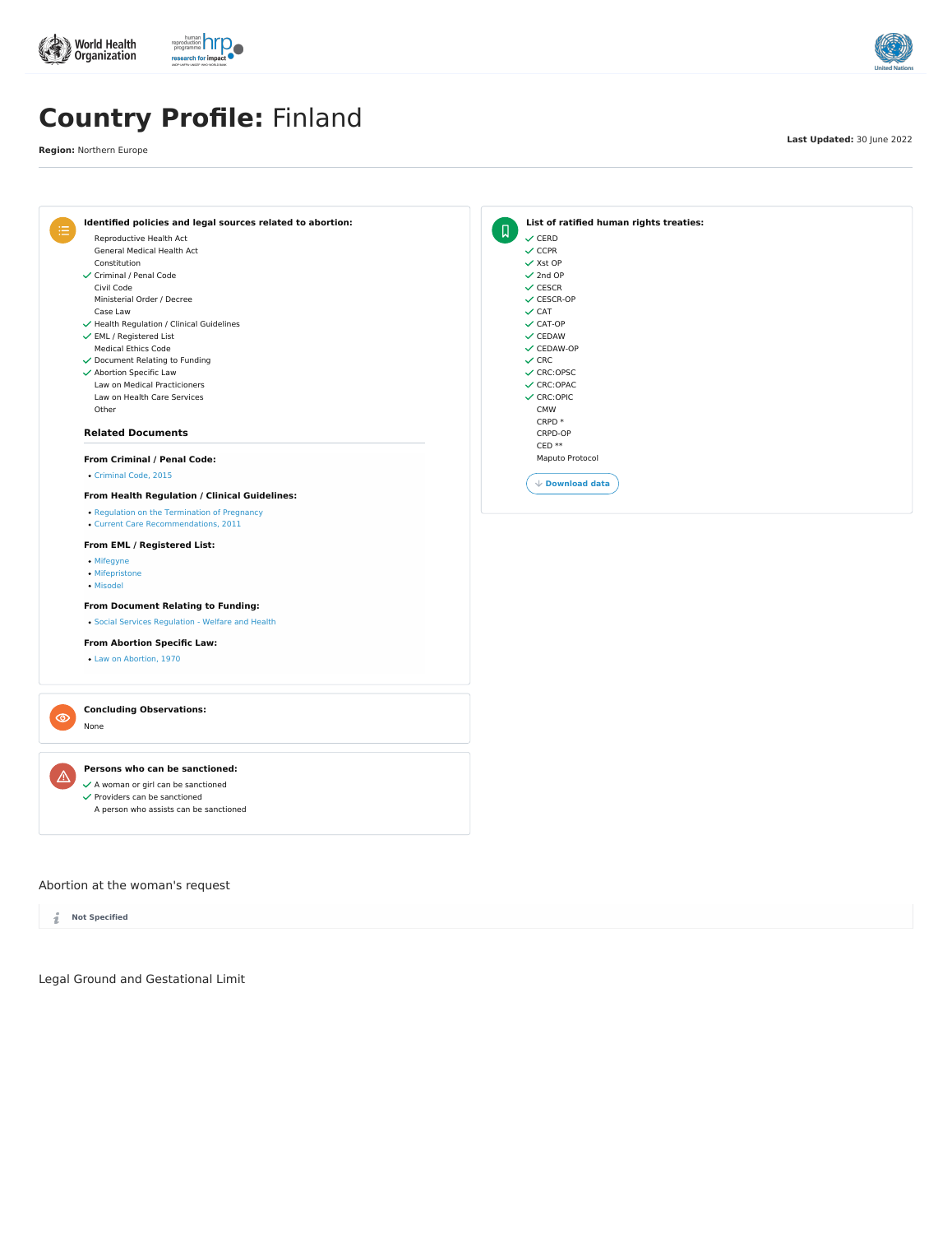**Concluding Observations:**

None

 $\checkmark$  Providers can be sanctioned

 $\checkmark$  A woman or girl can be sanctioned

A person who assists can be sanctioned

Abortion at the woman's request

i **Not Specified**

Legal Ground and Gestational Limit







# **Country Profile:** Finland

**Region:** Northern Europe

**Last Updated:** 30 June 2022



Law on [Abortion,](https://abortion-policies.srhr.org/documents/countries/01-Finland-Law-on-Abortion-1970.pdf) 1970



 $\overline{\mathbb{V}}$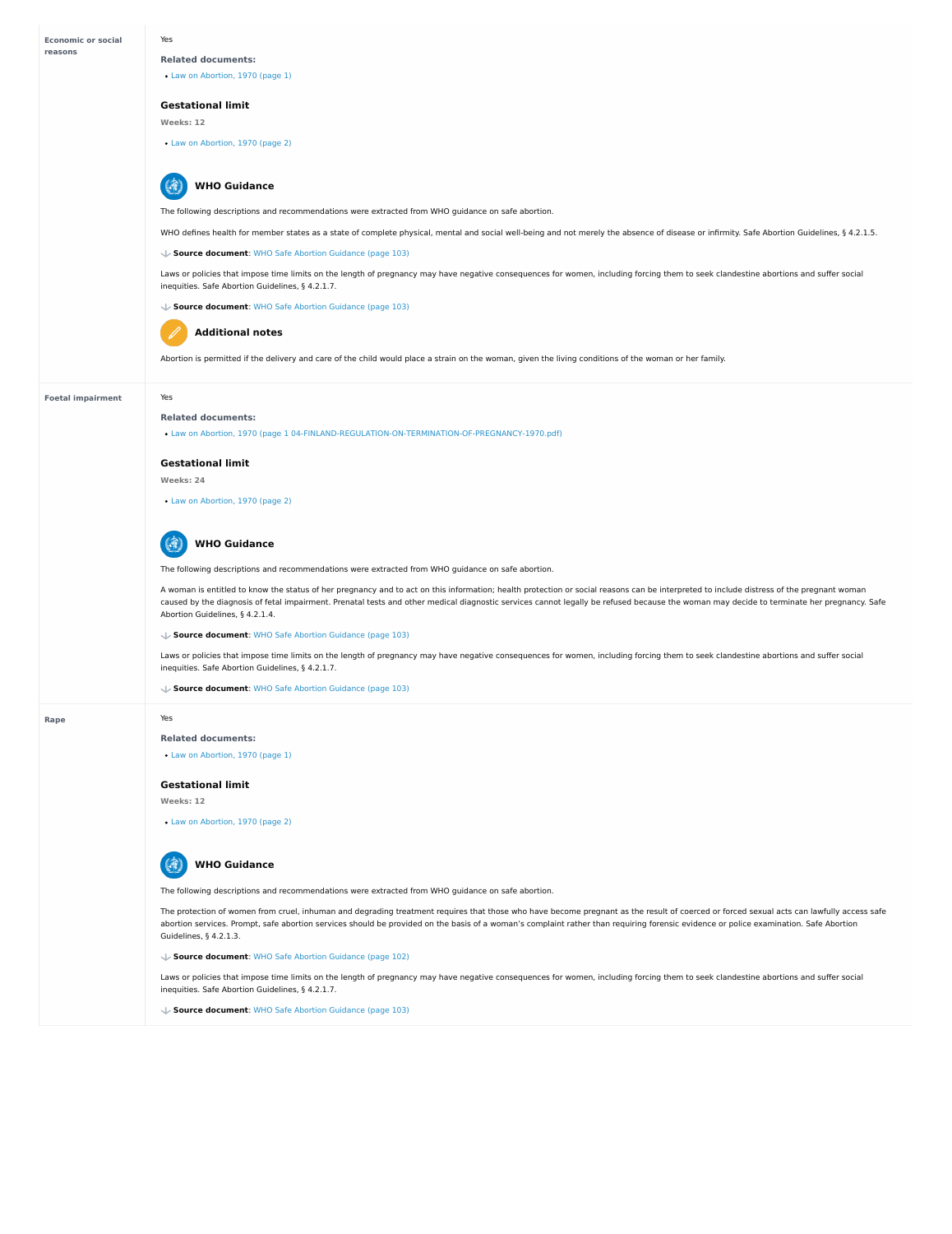**Economic or social reasons**

#### **Foetal impairment**

## **Rape**

Yes

# **Related documents:**

Law on [Abortion,](https://abortion-policies.srhr.org/documents/countries/01-FINLAND-LAW-ON-ABORTION-1970.pdf#page=1) 1970 (page 1)

## **Gestational limit**

**Weeks: 12**

Law on [Abortion,](https://abortion-policies.srhr.org/documents/countries/01-FINLAND-LAW-ON-ABORTION-1970.pdf#page=2) 1970 (page 2)

The following descriptions and recommendations were extracted from WHO guidance on safe abortion.

WHO defines health for member states as a state of complete physical, mental and social well-being and not merely the absence of disease or infirmity. Safe Abortion Guidelines, § 4.2.1.5.

#### **WHO Guidance**  $\mathbb{R}$

Laws or policies that impose time limits on the length of pregnancy may have negative consequences for women, including forcing them to seek clandestine abortions and suffer social inequities. Safe Abortion Guidelines, § 4.2.1.7.

#### **Source document**: WHO Safe Abortion [Guidance](https://abortion-policies.srhr.org/documents/reference/WHO-Safe-Abortion-Guidance-2012.pdf#page=103) (page 103)

**Source document**: WHO Safe Abortion [Guidance](https://abortion-policies.srhr.org/documents/reference/WHO-Safe-Abortion-Guidance-2012.pdf#page=103) (page 103)



Abortion is permitted if the delivery and care of the child would place a strain on the woman, given the living conditions of the woman or her family.

#### **WHO Guidance** 1.7

# **Additional notes**

Yes

#### **Related documents:**

Law on Abortion, 1970 (page 1 [04-FINLAND-REGULATION-ON-TERMINATION-OF-PREGNANCY-1970.pdf\)](https://abortion-policies.srhr.org/documents/countries/01-FINLAND-LAW-ON-ABORTION-1970.pdf#page=1%2004-FINLAND-REGULATION-ON-TERMINATION-OF-PREGNANCY-1970.pdf#page=1)

## **Gestational limit**

**Weeks: 24**

Law on [Abortion,](https://abortion-policies.srhr.org/documents/countries/01-FINLAND-LAW-ON-ABORTION-1970.pdf#page=2) 1970 (page 2)

The following descriptions and recommendations were extracted from WHO guidance on safe abortion.

Laws or policies that impose time limits on the length of pregnancy may have negative consequences for women, including forcing them to seek clandestine abortions and suffer social inequities. Safe Abortion Guidelines, § 4.2.1.7.

#### 14 **WHO Guidance**

A woman is entitled to know the status of her pregnancy and to act on this information; health protection or social reasons can be interpreted to include distress of the pregnant woman caused by the diagnosis of fetal impairment. Prenatal tests and other medical diagnostic services cannot legally be refused because the woman may decide to terminate her pregnancy. Safe Abortion Guidelines, § 4.2.1.4.

Laws or policies that impose time limits on the length of pregnancy may have negative consequences for women, including forcing them to seek clandestine abortions and suffer social inequities. Safe Abortion Guidelines, § 4.2.1.7.

**Source document**: WHO Safe Abortion [Guidance](https://abortion-policies.srhr.org/documents/reference/WHO-Safe-Abortion-Guidance-2012.pdf#page=103) (page 103)

**Source document**: WHO Safe Abortion [Guidance](https://abortion-policies.srhr.org/documents/reference/WHO-Safe-Abortion-Guidance-2012.pdf#page=103) (page 103)

Yes

#### **Related documents:**

Law on [Abortion,](https://abortion-policies.srhr.org/documents/countries/01-FINLAND-LAW-ON-ABORTION-1970.pdf#page=1) 1970 (page 1)

#### **Gestational limit**

#### **Weeks: 12**

Law on [Abortion,](https://abortion-policies.srhr.org/documents/countries/01-FINLAND-LAW-ON-ABORTION-1970.pdf#page=2) 1970 (page 2)

The following descriptions and recommendations were extracted from WHO guidance on safe abortion.

The protection of women from cruel, inhuman and degrading treatment requires that those who have become pregnant as the result of coerced or forced sexual acts can lawfully access safe abortion services. Prompt, safe abortion services should be provided on the basis of a woman's complaint rather than requiring forensic evidence or police examination. Safe Abortion Guidelines, § 4.2.1.3.

**Source document**: WHO Safe Abortion [Guidance](https://abortion-policies.srhr.org/documents/reference/WHO-Safe-Abortion-Guidance-2012.pdf#page=102) (page 102)

**Source document**: WHO Safe Abortion [Guidance](https://abortion-policies.srhr.org/documents/reference/WHO-Safe-Abortion-Guidance-2012.pdf#page=103) (page 103)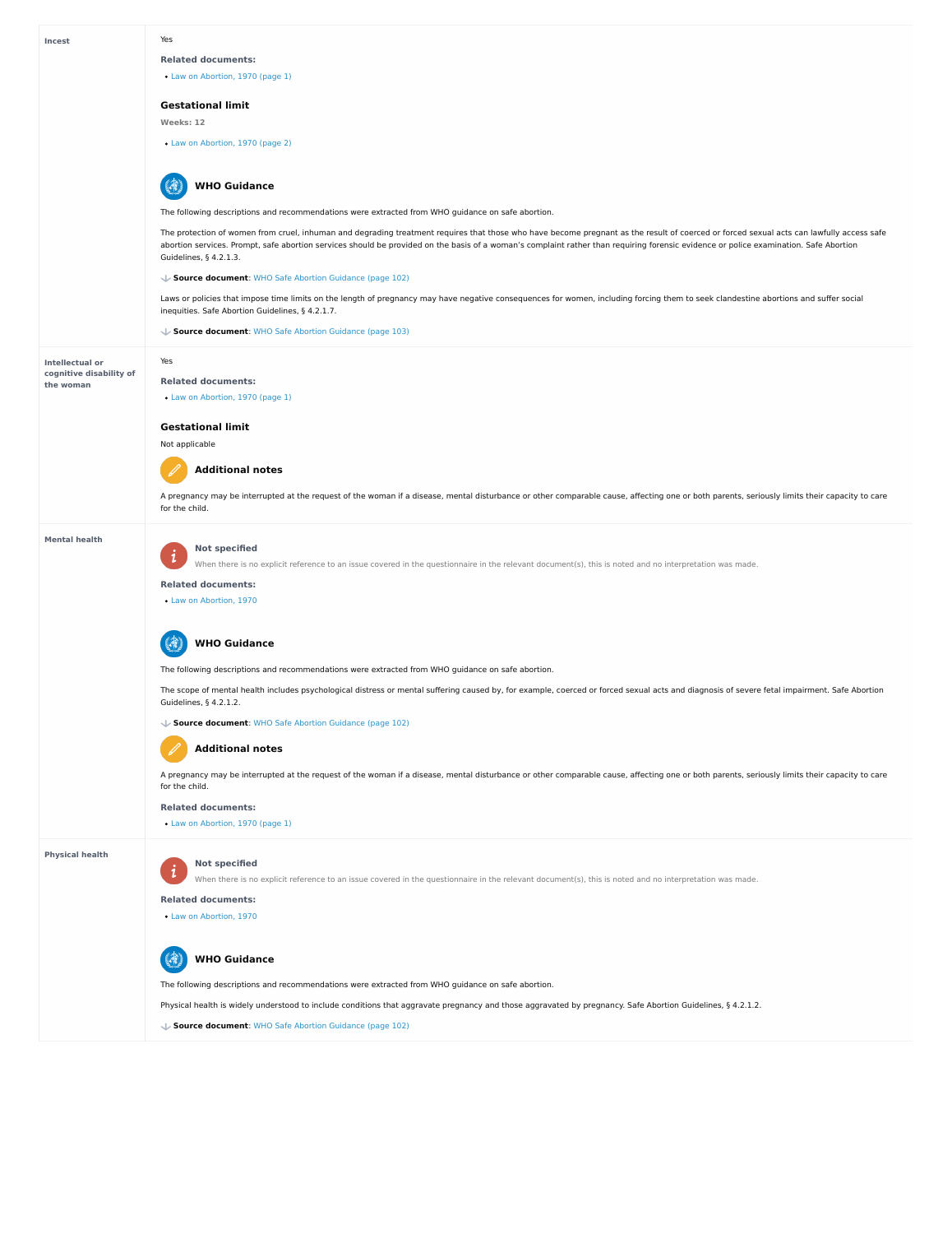### **Intellectual or cognitive disability of the woman**

#### **Mental health**

#### **Physical health**

#### Yes

#### **Related documents:**

Law on [Abortion,](https://abortion-policies.srhr.org/documents/countries/01-FINLAND-LAW-ON-ABORTION-1970.pdf#page=1) 1970 (page 1)

## **Gestational limit**

**Weeks: 12**

Law on [Abortion,](https://abortion-policies.srhr.org/documents/countries/01-FINLAND-LAW-ON-ABORTION-1970.pdf#page=2) 1970 (page 2)

The following descriptions and recommendations were extracted from WHO guidance on safe abortion.

Laws or policies that impose time limits on the length of pregnancy may have negative consequences for women, including forcing them to seek clandestine abortions and suffer social inequities. Safe Abortion Guidelines, § 4.2.1.7.

#### 4 **WHO Guidance**

The protection of women from cruel, inhuman and degrading treatment requires that those who have become pregnant as the result of coerced or forced sexual acts can lawfully access safe abortion services. Prompt, safe abortion services should be provided on the basis of a woman's complaint rather than requiring forensic evidence or police examination. Safe Abortion Guidelines, § 4.2.1.3.

**Source document**: WHO Safe Abortion [Guidance](https://abortion-policies.srhr.org/documents/reference/WHO-Safe-Abortion-Guidance-2012.pdf#page=102) (page 102)

The scope of mental health includes psychological distress or mental suffering caused by, for example, coerced or forced sexual acts and diagnosis of severe fetal impairment. Safe Abortion Guidelines, § 4.2.1.2.

#### 4 **WHO Guidance**

**Source document**: WHO Safe Abortion [Guidance](https://abortion-policies.srhr.org/documents/reference/WHO-Safe-Abortion-Guidance-2012.pdf#page=103) (page 103)

Yes

**Related documents:**

Law on [Abortion,](https://abortion-policies.srhr.org/documents/countries/01-FINLAND-LAW-ON-ABORTION-1970.pdf#page=1) 1970 (page 1)

#### **Not specified**  $\boldsymbol{i}$

#### **Gestational limit**

Not applicable

 $\mathbf{1}$ 

A pregnancy may be interrupted at the request of the woman if a disease, mental disturbance or other comparable cause, affecting one or both parents, seriously limits their capacity to care for the child.



#### **Not specified**

When there is no explicit reference to an issue covered in the questionnaire in the relevant document(s), this is noted and no interpretation was made.

#### **Related documents:**

Law on [Abortion,](https://abortion-policies.srhr.org/documents/countries/01-Finland-Law-on-Abortion-1970.pdf) 1970

The following descriptions and recommendations were extracted from WHO guidance on safe abortion.

#### **Source document**: WHO Safe Abortion [Guidance](https://abortion-policies.srhr.org/documents/reference/WHO-Safe-Abortion-Guidance-2012.pdf#page=102) (page 102)



A pregnancy may be interrupted at the request of the woman if a disease, mental disturbance or other comparable cause, affecting one or both parents, seriously limits their capacity to care for the child.

**Related documents:**

**Additional notes**

Law on [Abortion,](https://abortion-policies.srhr.org/documents/countries/01-FINLAND-LAW-ON-ABORTION-1970.pdf#page=1) 1970 (page 1)

When there is no explicit reference to an issue covered in the questionnaire in the relevant document(s), this is noted and no interpretation was made.

**Related documents:**

Law on [Abortion,](https://abortion-policies.srhr.org/documents/countries/01-Finland-Law-on-Abortion-1970.pdf) 1970

The following descriptions and recommendations were extracted from WHO guidance on safe abortion.

Physical health is widely understood to include conditions that aggravate pregnancy and those aggravated by pregnancy. Safe Abortion Guidelines, § 4.2.1.2.



**Source document**: WHO Safe Abortion [Guidance](https://abortion-policies.srhr.org/documents/reference/WHO-Safe-Abortion-Guidance-2012.pdf#page=102) (page 102)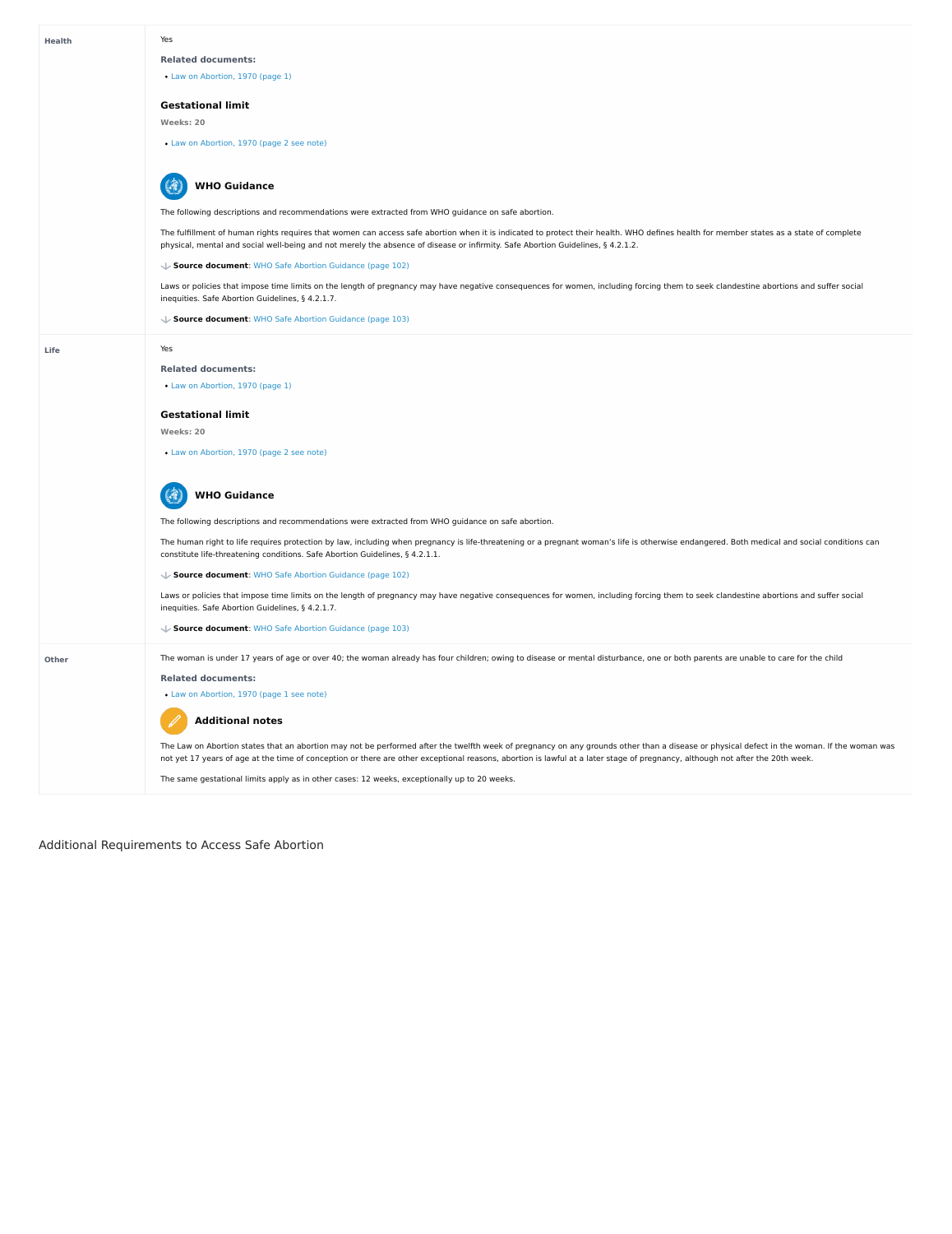Additional Requirements to Access Safe Abortion

#### **Life**

#### Yes

#### **Related documents:**

Law on [Abortion,](https://abortion-policies.srhr.org/documents/countries/01-FINLAND-LAW-ON-ABORTION-1970.pdf#page=1) 1970 (page 1)

## **Gestational limit**

**Weeks: 20**

Law on [Abortion,](https://abortion-policies.srhr.org/documents/countries/01-FINLAND-LAW-ON-ABORTION-1970.pdf#page=2%20see%20note) 1970 (page 2 see note)

The following descriptions and recommendations were extracted from WHO guidance on safe abortion.

The fulfillment of human rights requires that women can access safe abortion when it is indicated to protect their health. WHO defines health for member states as a state of complete physical, mental and social well-being and not merely the absence of disease or infirmity. Safe Abortion Guidelines, § 4.2.1.2.

Laws or policies that impose time limits on the length of pregnancy may have negative consequences for women, including forcing them to seek clandestine abortions and suffer social inequities. Safe Abortion Guidelines, § 4.2.1.7.

#### 6 **WHO Guidance**

#### **Source document**: WHO Safe Abortion [Guidance](https://abortion-policies.srhr.org/documents/reference/WHO-Safe-Abortion-Guidance-2012.pdf#page=102) (page 102)

Laws or policies that impose time limits on the length of pregnancy may have negative consequences for women, including forcing them to seek clandestine abortions and suffer social inequities. Safe Abortion Guidelines, § 4.2.1.7.

**Source document**: WHO Safe Abortion [Guidance](https://abortion-policies.srhr.org/documents/reference/WHO-Safe-Abortion-Guidance-2012.pdf#page=103) (page 103)

Yes

#### **Related documents:**

Law on [Abortion,](https://abortion-policies.srhr.org/documents/countries/01-FINLAND-LAW-ON-ABORTION-1970.pdf#page=1) 1970 (page 1)

#### **Gestational limit**

**Weeks: 20**

Law on [Abortion,](https://abortion-policies.srhr.org/documents/countries/01-FINLAND-LAW-ON-ABORTION-1970.pdf#page=2%20see%20note) 1970 (page 2 see note)



The following descriptions and recommendations were extracted from WHO guidance on safe abortion.

The Law on Abortion states that an abortion may not be performed after the twelfth week of pregnancy on any grounds other than a disease or physical defect in the woman. If the woman was not yet 17 years of age at the time of conception or there are other exceptional reasons, abortion is lawful at a later stage of pregnancy, although not after the 20th week.

The human right to life requires protection by law, including when pregnancy is life-threatening or a pregnant woman's life is otherwise endangered. Both medical and social conditions can constitute life-threatening conditions. Safe Abortion Guidelines, § 4.2.1.1.

#### **Source document**: WHO Safe Abortion [Guidance](https://abortion-policies.srhr.org/documents/reference/WHO-Safe-Abortion-Guidance-2012.pdf#page=102) (page 102)

# **WHO Guidance**

**Source document**: WHO Safe Abortion [Guidance](https://abortion-policies.srhr.org/documents/reference/WHO-Safe-Abortion-Guidance-2012.pdf#page=103) (page 103)

The woman is under 17 years of age or over 40; the woman already has four children; owing to disease or mental disturbance, one or both parents are unable to care for the child

**Related documents:**

Law on [Abortion,](https://abortion-policies.srhr.org/documents/countries/01-FINLAND-LAW-ON-ABORTION-1970.pdf#page=1%20%20see%20note) 1970 (page 1 see note)

The same gestational limits apply as in other cases: 12 weeks, exceptionally up to 20 weeks.

# **Additional notes**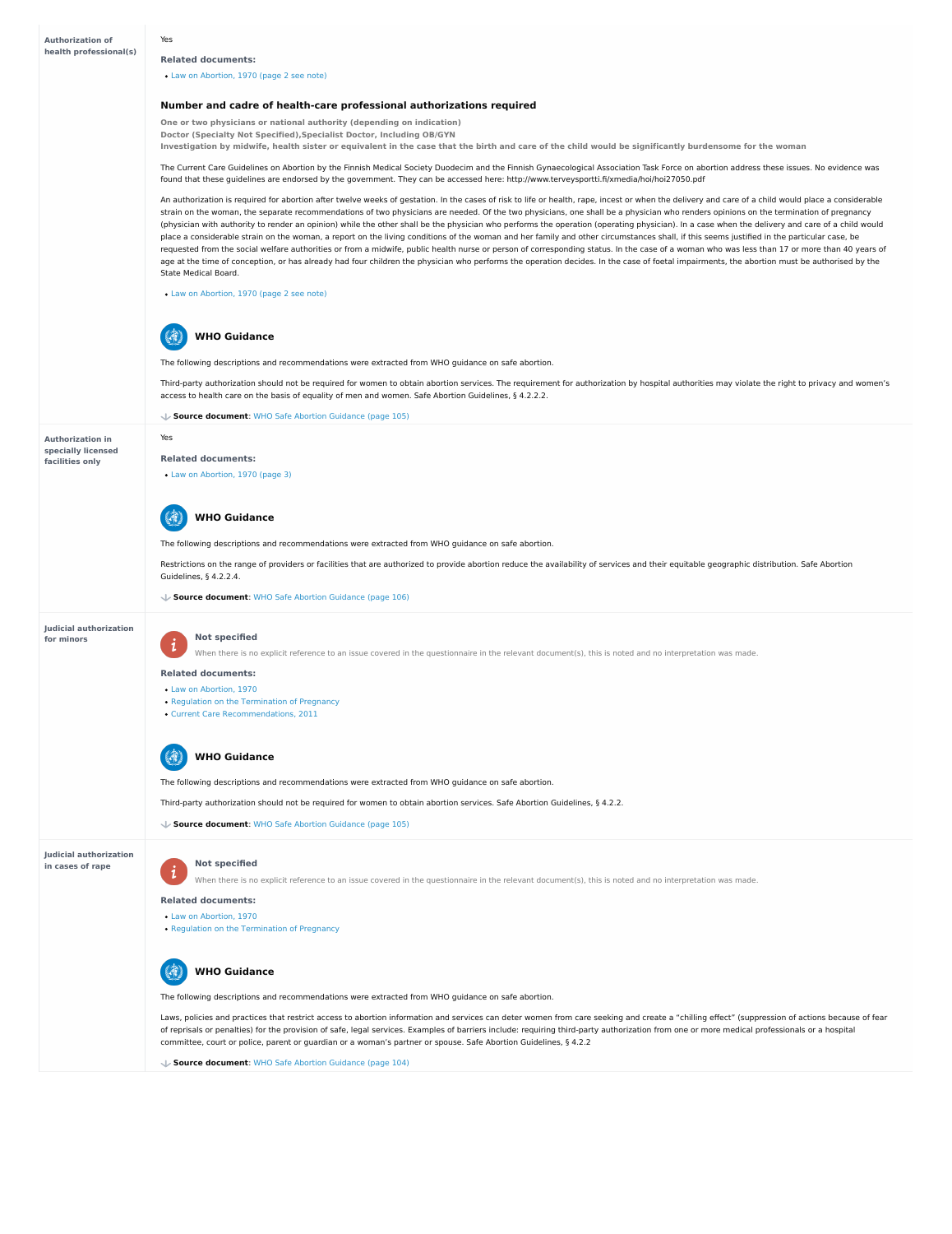# **Authorization in specially licensed facilities only**

**Judicial authorization for minors**

#### **Judicial authorization in cases of rape**

**One or two physicians or national authority (depending on indication) Doctor (Specialty Not Specified),Specialist Doctor, Including OB/GYN** Investigation by midwife, health sister or equivalent in the case that the birth and care of the child would be significantly burdensome for the woman

Yes

# **Related documents:**

Law on [Abortion,](https://abortion-policies.srhr.org/documents/countries/01-FINLAND-LAW-ON-ABORTION-1970.pdf#page=2%20see%20note) 1970 (page 2 see note)

# **Number and cadre of health-care professional authorizations required**

The Current Care Guidelines on Abortion by the Finnish Medical Society Duodecim and the Finnish Gynaecological Association Task Force on abortion address these issues. No evidence was found that these guidelines are endorsed by the government. They can be accessed here: http://www.terveysportti.fi/xmedia/hoi/hoi27050.pdf

#### $\mathbb{R}$ **WHO Guidance**

An authorization is required for abortion after twelve weeks of gestation. In the cases of risk to life or health, rape, incest or when the delivery and care of a child would place a considerable strain on the woman, the separate recommendations of two physicians are needed. Of the two physicians, one shall be a physician who renders opinions on the termination of pregnancy (physician with authority to render an opinion) while the other shall be the physician who performs the operation (operating physician). In a case when the delivery and care of a child would place a considerable strain on the woman, a report on the living conditions of the woman and her family and other circumstances shall, if this seems justified in the particular case, be requested from the social welfare authorities or from a midwife, public health nurse or person of corresponding status. In the case of a woman who was less than 17 or more than 40 years of age at the time of conception, or has already had four children the physician who performs the operation decides. In the case of foetal impairments, the abortion must be authorised by the State Medical Board.

#### **Not specified**  $\mathbf{i}$

When there is no explicit reference to an issue covered in the questionnaire in the relevant document(s), this is noted and no interpretation was made.

# **Not specified**  $\boldsymbol{i}$

- Law on [Abortion,](https://abortion-policies.srhr.org/documents/countries/01-Finland-Law-on-Abortion-1970.pdf) 1970
- Regulation on the [Termination](https://abortion-policies.srhr.org/documents/countries/04-Finland-Regulation-on-Termination-of-Pregnancy-1970.pdf) of Pregnancy



Law on [Abortion,](https://abortion-policies.srhr.org/documents/countries/01-FINLAND-LAW-ON-ABORTION-1970.pdf#page=2%20see%20note) 1970 (page 2 see note)

The following descriptions and recommendations were extracted from WHO guidance on safe abortion.

Third-party authorization should not be required for women to obtain abortion services. The requirement for authorization by hospital authorities may violate the right to privacy and women's access to health care on the basis of equality of men and women. Safe Abortion Guidelines, § 4.2.2.2.

**Source document**: WHO Safe Abortion [Guidance](https://abortion-policies.srhr.org/documents/reference/WHO-Safe-Abortion-Guidance-2012.pdf#page=105) (page 105)

Yes

## **Related documents:**

Law on [Abortion,](https://abortion-policies.srhr.org/documents/countries/01-FINLAND-LAW-ON-ABORTION-1970.pdf#page=3) 1970 (page 3)

The following descriptions and recommendations were extracted from WHO guidance on safe abortion.

Restrictions on the range of providers or facilities that are authorized to provide abortion reduce the availability of services and their equitable geographic distribution. Safe Abortion Guidelines, § 4.2.2.4.



**Source document**: WHO Safe Abortion [Guidance](https://abortion-policies.srhr.org/documents/reference/WHO-Safe-Abortion-Guidance-2012.pdf#page=106) (page 106)

**Related documents:**

- Law on [Abortion,](https://abortion-policies.srhr.org/documents/countries/01-Finland-Law-on-Abortion-1970.pdf) 1970
- Regulation on the [Termination](https://abortion-policies.srhr.org/documents/countries/04-Finland-Regulation-on-Termination-of-Pregnancy-1970.pdf) of Pregnancy
- Current Care [Recommendations,](https://abortion-policies.srhr.org/documents/countries/11-Finland-Current-Care-Recommendation-2013.pdf) 2011

The following descriptions and recommendations were extracted from WHO guidance on safe abortion.

Third-party authorization should not be required for women to obtain abortion services. Safe Abortion Guidelines, § 4.2.2.



**Source document**: WHO Safe Abortion [Guidance](https://abortion-policies.srhr.org/documents/reference/WHO-Safe-Abortion-Guidance-2012.pdf#page=105) (page 105)

When there is no explicit reference to an issue covered in the questionnaire in the relevant document(s), this is noted and no interpretation was made.

## **Related documents:**

The following descriptions and recommendations were extracted from WHO guidance on safe abortion.

Laws, policies and practices that restrict access to abortion information and services can deter women from care seeking and create a "chilling effect" (suppression of actions because of fear of reprisals or penalties) for the provision of safe, legal services. Examples of barriers include: requiring third-party authorization from one or more medical professionals or a hospital committee, court or police, parent or guardian or a woman's partner or spouse. Safe Abortion Guidelines, § 4.2.2

# **WHO Guidance**

**Source document**: WHO Safe Abortion [Guidance](https://abortion-policies.srhr.org/documents/reference/WHO-Safe-Abortion-Guidance-2012.pdf#page=104) (page 104)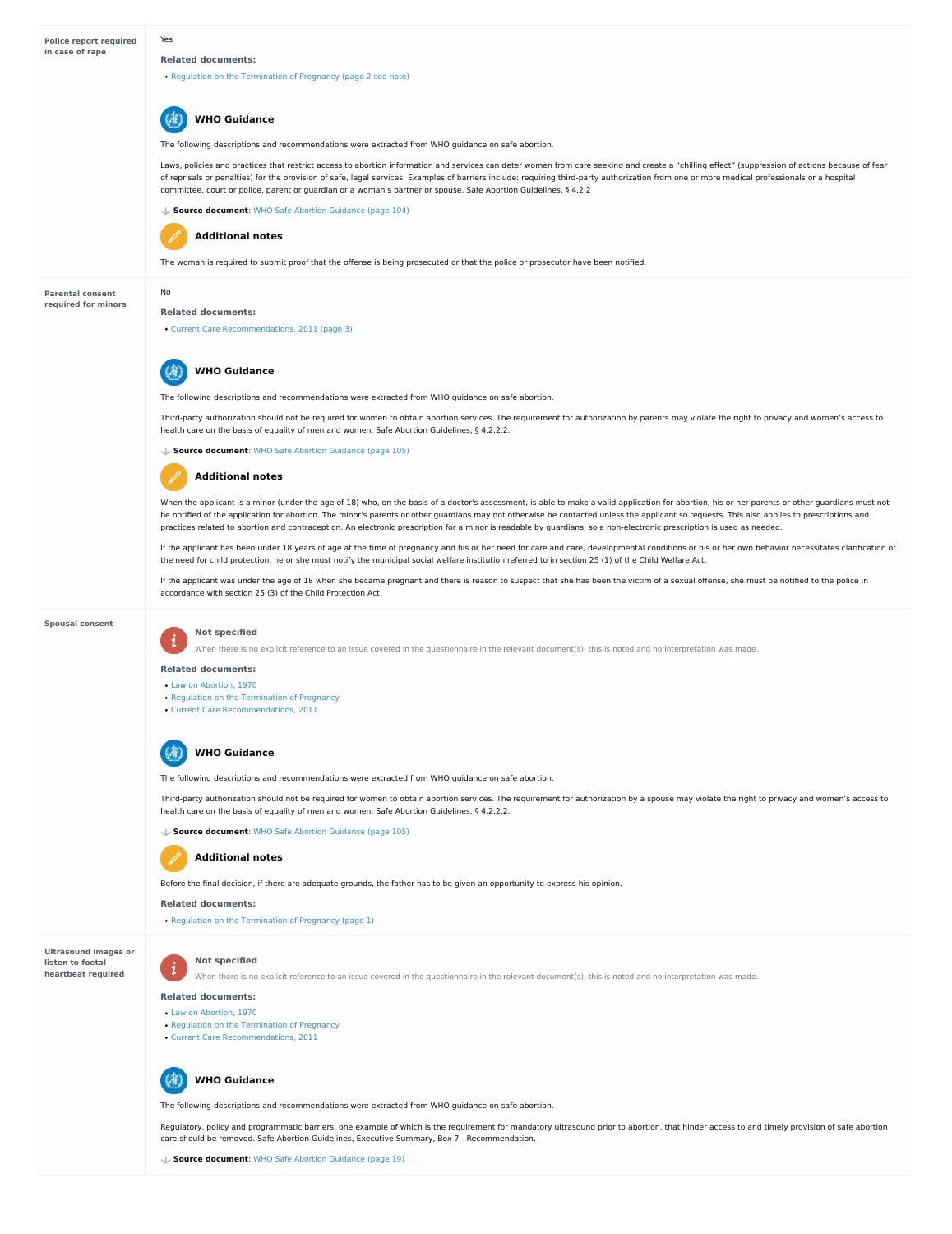#### **Parental consent required for minors**

#### **Spousal consent**

**Ultrasound images or listen to foetal heartbeat required**

Yes

#### **Related documents:**

Regulation on the [Termination](https://abortion-policies.srhr.org/documents/countries/04-FINLAND-REGULATION-ON-TERMINATION-OF-PREGNANCY-1970.pdf#page=2%20see%20note) of Pregnancy (page 2 see note)

The following descriptions and recommendations were extracted from WHO guidance on safe abortion.

Laws, policies and practices that restrict access to abortion information and services can deter women from care seeking and create a "chilling effect" (suppression of actions because of fear of reprisals or penalties) for the provision of safe, legal services. Examples of barriers include: requiring third-party authorization from one or more medical professionals or a hospital committee, court or police, parent or guardian or a woman's partner or spouse. Safe Abortion Guidelines, § 4.2.2

Third-party authorization should not be required for women to obtain abortion services. The requirement for authorization by parents may violate the right to privacy and women's access to health care on the basis of equality of men and women. Safe Abortion Guidelines, § 4.2.2.2.

# **WHO Guidance**

**Source document**: WHO Safe Abortion [Guidance](https://abortion-policies.srhr.org/documents/reference/WHO-Safe-Abortion-Guidance-2012.pdf#page=104) (page 104)



The woman is required to submit proof that the offense is being prosecuted or that the police or prosecutor have been notified.

# **Additional notes**

No

When the applicant is a minor (under the age of 18) who, on the basis of a doctor's assessment, is able to make a valid application for abortion, his or her parents or other guardians must not be notified of the application for abortion. The minor's parents or other guardians may not otherwise be contacted unless the applicant so requests. This also applies to prescriptions and practices related to abortion and contraception. An electronic prescription for a minor is readable by guardians, so a non-electronic prescription is used as needed.

#### **Related documents:**

Current Care [Recommendations,](https://abortion-policies.srhr.org/documents/countries/11-Finland-Current-Care-Recommendation-2013.pdf#page=3) 2011 (page 3)

The following descriptions and recommendations were extracted from WHO guidance on safe abortion.

If the applicant has been under 18 years of age at the time of pregnancy and his or her need for care and care, developmental conditions or his or her own behavior necessitates clarification of the need for child protection, he or she must notify the municipal social welfare institution referred to in section 25 (1) of the Child Welfare Act.

If the applicant was under the age of 18 when she became pregnant and there is reason to suspect that she has been the victim of a sexual offense, she must be notified to the police in accordance with section 25 (3) of the Child Protection Act.

# **WHO Guidance**

**Source document**: WHO Safe Abortion [Guidance](https://abortion-policies.srhr.org/documents/reference/WHO-Safe-Abortion-Guidance-2012.pdf#page=105) (page 105)

Regulatory, policy and programmatic barriers, one example of which is the requirement for mandatory ultrasound prior to abortion, that hinder access to and timely provision of safe abortion care should be removed. Safe Abortion Guidelines, Executive Summary, Box 7 - Recommendation.

# **Additional notes**

# **Not specified**

When there is no explicit reference to an issue covered in the questionnaire in the relevant document(s), this is noted and no interpretation was made.

#### **Related documents:**

- Law on [Abortion,](https://abortion-policies.srhr.org/documents/countries/01-Finland-Law-on-Abortion-1970.pdf) 1970
- Regulation on the [Termination](https://abortion-policies.srhr.org/documents/countries/04-Finland-Regulation-on-Termination-of-Pregnancy-1970.pdf) of Pregnancy
- Current Care [Recommendations,](https://abortion-policies.srhr.org/documents/countries/11-Finland-Current-Care-Recommendation-2013.pdf) 2011



The following descriptions and recommendations were extracted from WHO guidance on safe abortion.

Third-party authorization should not be required for women to obtain abortion services. The requirement for authorization by a spouse may violate the right to privacy and women's access to health care on the basis of equality of men and women. Safe Abortion Guidelines, § 4.2.2.2.

# **WHO Guidance**

**Source document**: WHO Safe Abortion [Guidance](https://abortion-policies.srhr.org/documents/reference/WHO-Safe-Abortion-Guidance-2012.pdf#page=105) (page 105)

Before the final decision, if there are adequate grounds, the father has to be given an opportunity to express his opinion.

## **Related documents:**

# **Additional notes**

Regulation on the [Termination](https://abortion-policies.srhr.org/documents/countries/04-FINLAND-REGULATION-ON-TERMINATION-OF-PREGNANCY-1970.pdf#page=1) of Pregnancy (page 1)

# **Not specified**

When there is no explicit reference to an issue covered in the questionnaire in the relevant document(s), this is noted and no interpretation was made.

# **Related documents:**

- Law on [Abortion,](https://abortion-policies.srhr.org/documents/countries/01-Finland-Law-on-Abortion-1970.pdf) 1970
- Regulation on the [Termination](https://abortion-policies.srhr.org/documents/countries/04-Finland-Regulation-on-Termination-of-Pregnancy-1970.pdf) of Pregnancy
- Current Care [Recommendations,](https://abortion-policies.srhr.org/documents/countries/11-Finland-Current-Care-Recommendation-2013.pdf) 2011



The following descriptions and recommendations were extracted from WHO guidance on safe abortion.

# **WHO Guidance**

**Source document**: WHO Safe Abortion [Guidance](https://abortion-policies.srhr.org/documents/reference/WHO-Safe-Abortion-Guidance-2012.pdf#page=19) (page 19)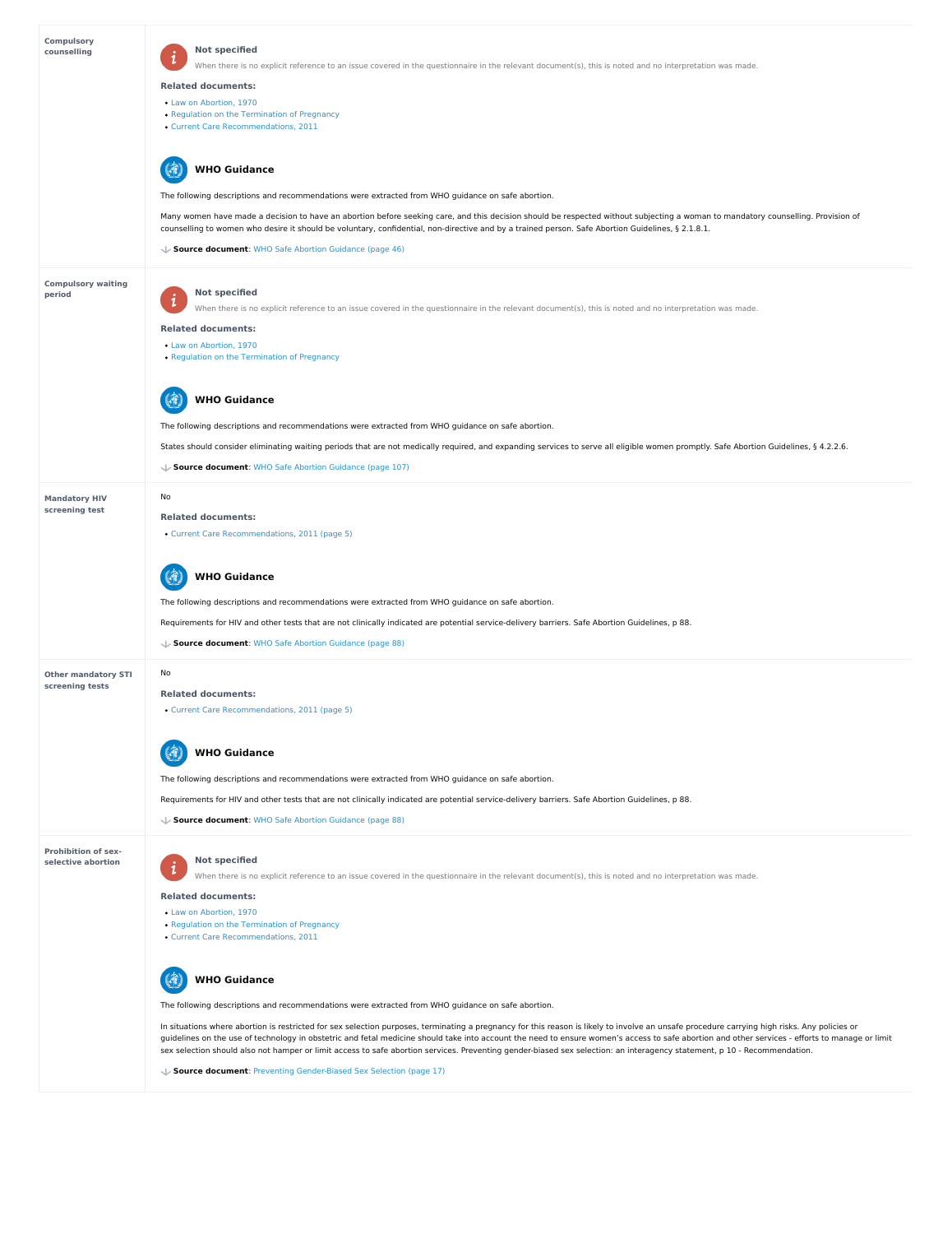**Prohibition of sex selective abortion**

| <b>Compulsory</b><br>counselling    | <b>Not specified</b><br>$\mathbf 1$<br>When there is no explicit reference to an issue covered in the questionnaire in the relevant document(s), this is noted and no interpretation was made.                                                                                                                                        |
|-------------------------------------|---------------------------------------------------------------------------------------------------------------------------------------------------------------------------------------------------------------------------------------------------------------------------------------------------------------------------------------|
|                                     | <b>Related documents:</b>                                                                                                                                                                                                                                                                                                             |
|                                     | • Law on Abortion, 1970                                                                                                                                                                                                                                                                                                               |
|                                     | • Regulation on the Termination of Pregnancy                                                                                                                                                                                                                                                                                          |
|                                     | • Current Care Recommendations, 2011                                                                                                                                                                                                                                                                                                  |
|                                     | <b>WHO Guidance</b>                                                                                                                                                                                                                                                                                                                   |
|                                     | The following descriptions and recommendations were extracted from WHO guidance on safe abortion.                                                                                                                                                                                                                                     |
|                                     | Many women have made a decision to have an abortion before seeking care, and this decision should be respected without subjecting a woman to mandatory counselling. Provision of<br>counselling to women who desire it should be voluntary, confidential, non-directive and by a trained person. Safe Abortion Guidelines, § 2.1.8.1. |
|                                     | ↓ Source document: WHO Safe Abortion Guidance (page 46)                                                                                                                                                                                                                                                                               |
| <b>Compulsory waiting</b><br>period | <b>Not specified</b>                                                                                                                                                                                                                                                                                                                  |
|                                     | $\mathbf{i}$<br>When there is no explicit reference to an issue covered in the questionnaire in the relevant document(s), this is noted and no interpretation was made.                                                                                                                                                               |
|                                     | <b>Related documents:</b>                                                                                                                                                                                                                                                                                                             |
|                                     | • Law on Abortion, 1970                                                                                                                                                                                                                                                                                                               |
|                                     | • Regulation on the Termination of Pregnancy                                                                                                                                                                                                                                                                                          |
|                                     | <b>WHO Guidance</b>                                                                                                                                                                                                                                                                                                                   |
|                                     | The following descriptions and recommendations were extracted from WHO guidance on safe abortion.                                                                                                                                                                                                                                     |
|                                     | States should consider eliminating waiting periods that are not medically required, and expanding services to serve all eligible women promptly. Safe Abortion Guidelines, § 4.2.2.6.                                                                                                                                                 |
|                                     | ↓ Source document: WHO Safe Abortion Guidance (page 107)                                                                                                                                                                                                                                                                              |
| <b>Mandatory HIV</b>                | No                                                                                                                                                                                                                                                                                                                                    |
| screening test                      | <b>Related documents:</b>                                                                                                                                                                                                                                                                                                             |
|                                     | • Current Care Recommendations, 2011 (page 5)                                                                                                                                                                                                                                                                                         |
|                                     | <b>WHO Guidance</b>                                                                                                                                                                                                                                                                                                                   |
|                                     | The following descriptions and recommendations were extracted from WHO guidance on safe abortion.                                                                                                                                                                                                                                     |
|                                     | Requirements for HIV and other tests that are not clinically indicated are potential service-delivery barriers. Safe Abortion Guidelines, p 88.                                                                                                                                                                                       |
|                                     | ↓ Source document: WHO Safe Abortion Guidance (page 88)                                                                                                                                                                                                                                                                               |
| <b>Other mandatory STI</b>          | No                                                                                                                                                                                                                                                                                                                                    |
| screening tests                     | <b>Related documents:</b>                                                                                                                                                                                                                                                                                                             |
|                                     | • Current Care Recommendations, 2011 (page 5)                                                                                                                                                                                                                                                                                         |
|                                     | <b>WHO Guidance</b>                                                                                                                                                                                                                                                                                                                   |

# **Not specified**  $\boldsymbol{i}$

In situations where abortion is restricted for sex selection purposes, terminating a pregnancy for this reason is likely to involve an unsafe procedure carrying high risks. Any policies or guidelines on the use of technology in obstetric and fetal medicine should take into account the need to ensure women's access to safe abortion and other services - efforts to manage or limit sex selection should also not hamper or limit access to safe abortion services. Preventing gender-biased sex selection: an interagency statement, p 10 - Recommendation.

#### 6 **WHO Guidance**

The following descriptions and recommendations were extracted from WHO guidance on safe abortion.

Requirements for HIV and other tests that are not clinically indicated are potential service-delivery barriers. Safe Abortion Guidelines, p 88.

**Source document**: WHO Safe Abortion [Guidance](https://abortion-policies.srhr.org/documents/reference/WHO-Safe-Abortion-Guidance-2012.pdf#page=88) (page 88)

When there is no explicit reference to an issue covered in the questionnaire in the relevant document(s), this is noted and no interpretation was made.

#### **Related documents:**

- Law on [Abortion,](https://abortion-policies.srhr.org/documents/countries/01-Finland-Law-on-Abortion-1970.pdf) 1970
- Regulation on the [Termination](https://abortion-policies.srhr.org/documents/countries/04-Finland-Regulation-on-Termination-of-Pregnancy-1970.pdf) of Pregnancy
- Current Care [Recommendations,](https://abortion-policies.srhr.org/documents/countries/11-Finland-Current-Care-Recommendation-2013.pdf) 2011

The following descriptions and recommendations were extracted from WHO guidance on safe abortion.

**Source document**: Preventing [Gender-Biased](https://abortion-policies.srhr.org/documents/reference/WHO-and-other-Interagency-statement-gender-biased-sex-selection-2011.pdf#page=17) Sex Selection (page 17)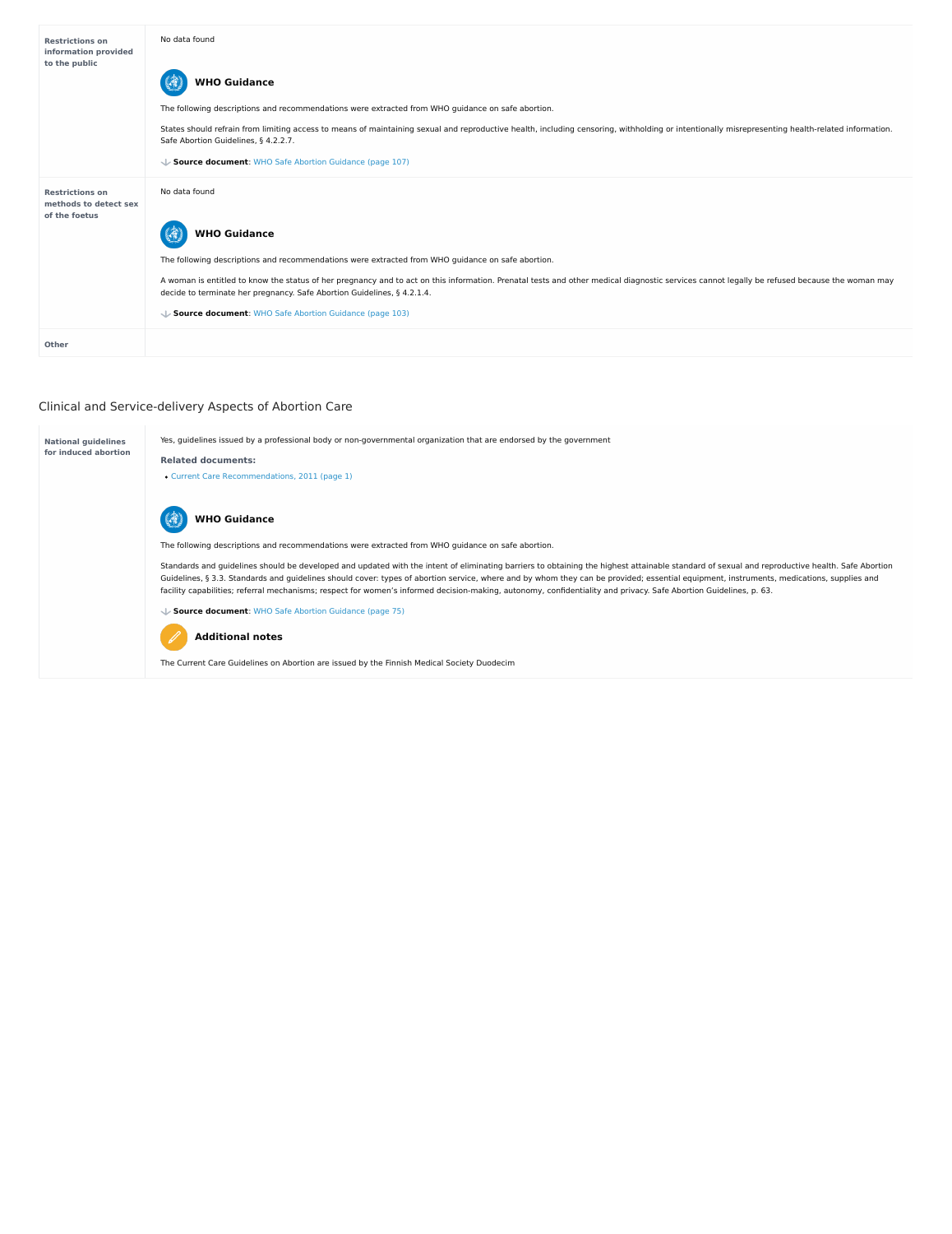# Clinical and Service-delivery Aspects of Abortion Care

| <b>Restrictions on</b><br>information provided<br>to the public  | No data found<br><b>WHO Guidance</b><br>The following descriptions and recommendations were extracted from WHO guidance on safe abortion.<br>States should refrain from limiting access to means of maintaining sexual and reproductive health, including censoring, withholding or intentionally misrepresenting health-related information. |
|------------------------------------------------------------------|-----------------------------------------------------------------------------------------------------------------------------------------------------------------------------------------------------------------------------------------------------------------------------------------------------------------------------------------------|
|                                                                  | Safe Abortion Guidelines, § 4.2.2.7.<br>↓ Source document: WHO Safe Abortion Guidance (page 107)                                                                                                                                                                                                                                              |
| <b>Restrictions on</b><br>methods to detect sex<br>of the foetus | No data found                                                                                                                                                                                                                                                                                                                                 |
|                                                                  | <b>WHO Guidance</b>                                                                                                                                                                                                                                                                                                                           |
|                                                                  | The following descriptions and recommendations were extracted from WHO guidance on safe abortion.                                                                                                                                                                                                                                             |
|                                                                  | A woman is entitled to know the status of her pregnancy and to act on this information. Prenatal tests and other medical diagnostic services cannot legally be refused because the woman may<br>decide to terminate her pregnancy. Safe Abortion Guidelines, § 4.2.1.4.                                                                       |
|                                                                  | ↓ Source document: WHO Safe Abortion Guidance (page 103)                                                                                                                                                                                                                                                                                      |
| <b>Other</b>                                                     |                                                                                                                                                                                                                                                                                                                                               |

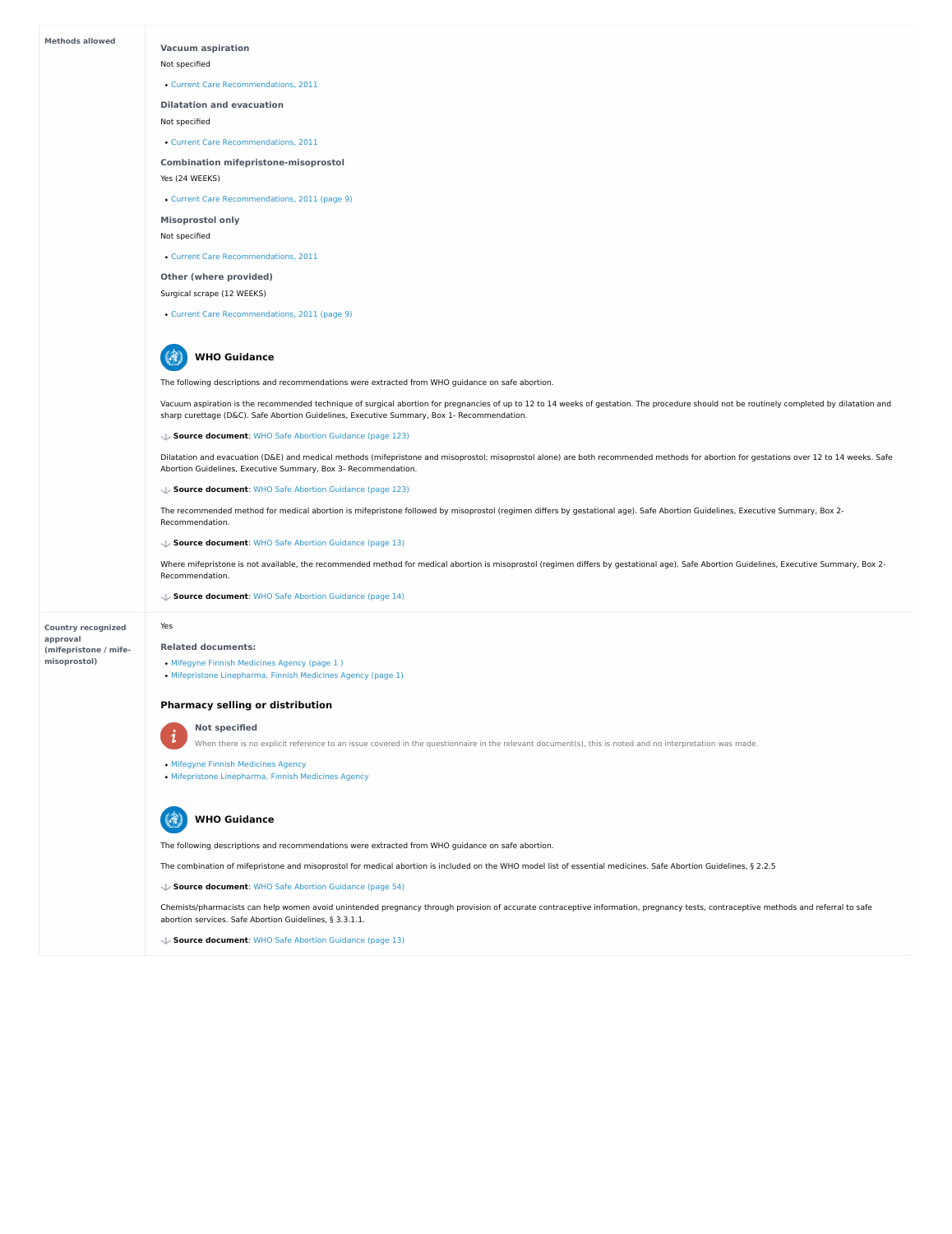#### **Methods allowed**

**Country recognized approval (mifepristone / mife misoprostol)**

## **Vacuum aspiration**

Not specified

**Dilatation and evacuation**

Not specified

**Combination mifepristone-misoprostol**

Yes (24 WEEKS)

**Misoprostol only**

Not specified

**Other (where provided)**

Surgical scrape (12 WEEKS)

Current Care [Recommendations,](https://abortion-policies.srhr.org/documents/countries/11-Finland-Current-Care-Recommendation-2013.pdf) 2011

Current Care [Recommendations,](https://abortion-policies.srhr.org/documents/countries/11-Finland-Current-Care-Recommendation-2013.pdf) 2011

Current Care [Recommendations,](https://abortion-policies.srhr.org/documents/countries/11-Finland-Current-Care-Recommendation-2013.pdf#page=9) 2011 (page 9)

Current Care [Recommendations,](https://abortion-policies.srhr.org/documents/countries/11-Finland-Current-Care-Recommendation-2013.pdf) 2011

Vacuum aspiration is the recommended technique of surgical abortion for pregnancies of up to 12 to 14 weeks of gestation. The procedure should not be routinely completed by dilatation and sharp curettage (D&C). Safe Abortion Guidelines, Executive Summary, Box 1- Recommendation.

Current Care [Recommendations,](https://abortion-policies.srhr.org/documents/countries/11-Finland-Current-Care-Recommendation-2013.pdf#page=9) 2011 (page 9)

The following descriptions and recommendations were extracted from WHO guidance on safe abortion.

Dilatation and evacuation (D&E) and medical methods (mifepristone and misoprostol; misoprostol alone) are both recommended methods for abortion for gestations over 12 to 14 weeks. Safe Abortion Guidelines, Executive Summary, Box 3- Recommendation.

绿 **WHO Guidance**

- Mifegyne Finnish [Medicines](https://abortion-policies.srhr.org/documents/countries/07-Finland-Mifegyne-Finnish-Medicines-Agency.pdf#page=1%20%0A) Agency (page 1)
- Mifepristone [Linepharma,](https://abortion-policies.srhr.org/documents/countries/08-Finland-Mifepristone-Linepharma-Finnish-Medicines-Agency.pdf#page=1) Finnish Medicines Agency (page 1)

The recommended method for medical abortion is mifepristone followed by misoprostol (regimen differs by gestational age). Safe Abortion Guidelines, Executive Summary, Box 2- Recommendation.

**Source document**: WHO Safe Abortion [Guidance](https://abortion-policies.srhr.org/documents/reference/WHO-Safe-Abortion-Guidance-2012.pdf#page=123) (page 123)

**Source document**: WHO Safe Abortion [Guidance](https://abortion-policies.srhr.org/documents/reference/WHO-Safe-Abortion-Guidance-2012.pdf#page=123) (page 123)

Where mifepristone is not available, the recommended method for medical abortion is misoprostol (regimen differs by gestational age). Safe Abortion Guidelines, Executive Summary, Box 2- Recommendation.

**Source document**: WHO Safe Abortion [Guidance](https://abortion-policies.srhr.org/documents/reference/WHO-Safe-Abortion-Guidance-2012.pdf#page=13) (page 13)

**Source document**: WHO Safe Abortion [Guidance](https://abortion-policies.srhr.org/documents/reference/WHO-Safe-Abortion-Guidance-2012.pdf#page=14) (page 14)

Yes

**Related documents:**

# **Pharmacy selling or distribution**



## **Not specified**

When there is no explicit reference to an issue covered in the questionnaire in the relevant document(s), this is noted and no interpretation was made.

Mifegyne Finnish [Medicines](https://abortion-policies.srhr.org/documents/countries/07-Finland-Mifegyne-Finnish-Medicines-Agency.pdf) Agency

• Mifepristone [Linepharma,](https://abortion-policies.srhr.org/documents/countries/08-Finland-Mifepristone-Linepharma-Finnish-Medicines-Agency.pdf) Finnish Medicines Agency

The following descriptions and recommendations were extracted from WHO guidance on safe abortion.

The combination of mifepristone and misoprostol for medical abortion is included on the WHO model list of essential medicines. Safe Abortion Guidelines, § 2.2.5

Chemists/pharmacists can help women avoid unintended pregnancy through provision of accurate contraceptive information, pregnancy tests, contraceptive methods and referral to safe abortion services. Safe Abortion Guidelines, § 3.3.1.1.

**Source document**: WHO Safe Abortion [Guidance](https://abortion-policies.srhr.org/documents/reference/WHO-Safe-Abortion-Guidance-2012.pdf#page=54) (page 54)



**Source document**: WHO Safe Abortion [Guidance](https://abortion-policies.srhr.org/documents/reference/WHO-Safe-Abortion-Guidance-2012.pdf#page=13) (page 13)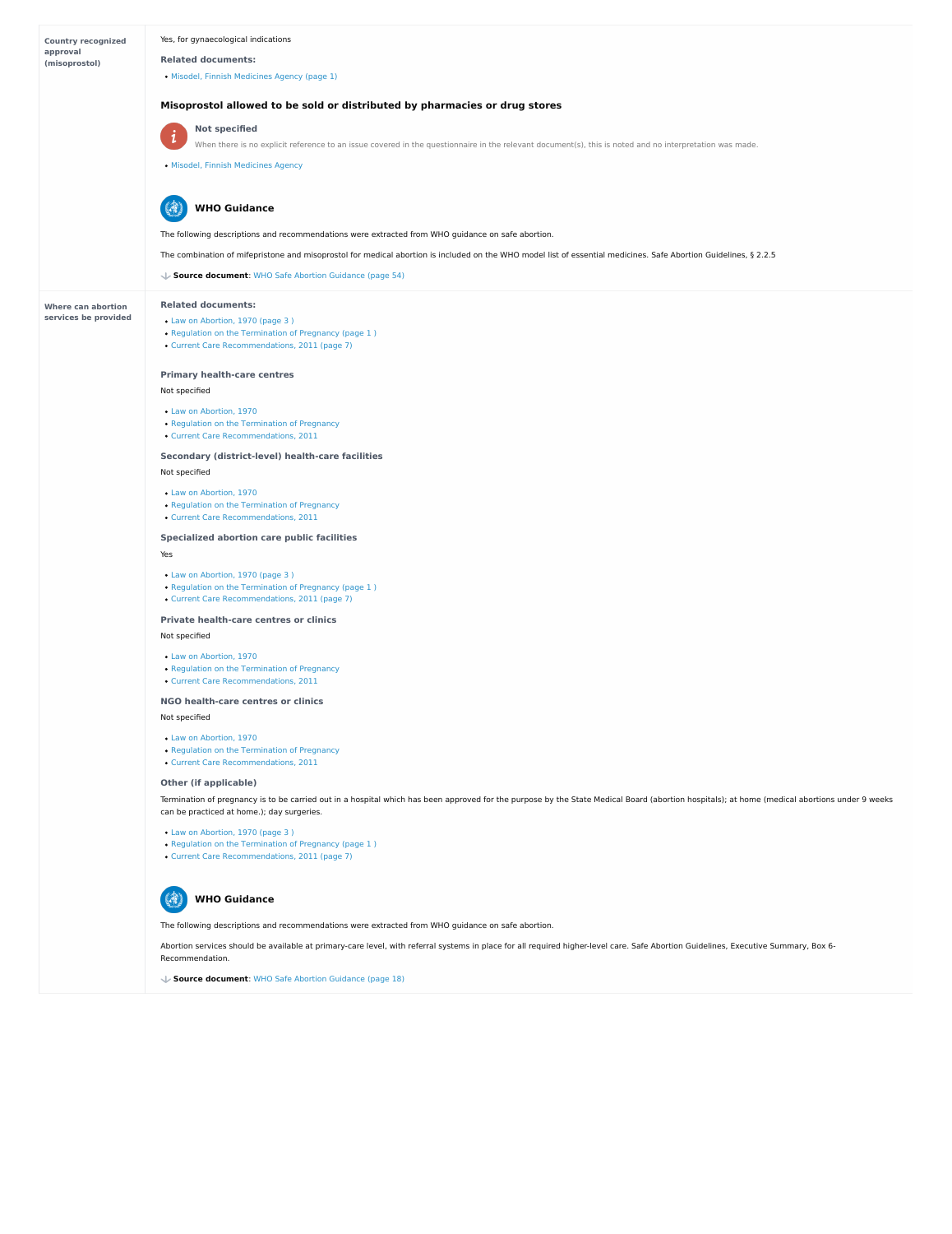| <b>Country recognized</b> | Yes, for gynaecological indications                                                                                                                              |
|---------------------------|------------------------------------------------------------------------------------------------------------------------------------------------------------------|
| approval<br>(misoprostol) | <b>Related documents:</b>                                                                                                                                        |
|                           | · Misodel, Finnish Medicines Agency (page 1)                                                                                                                     |
|                           |                                                                                                                                                                  |
|                           | Misoprostol allowed to be sold or distributed by pharmacies or drug stores                                                                                       |
|                           | <b>Not specified</b><br>$\mathbf{i}$                                                                                                                             |
|                           | When there is no explicit reference to an issue covered in the questionnaire in the relevant document(s), this is noted and no interpretation was made.          |
|                           | · Misodel, Finnish Medicines Agency                                                                                                                              |
|                           |                                                                                                                                                                  |
|                           | S<br><b>WHO Guidance</b>                                                                                                                                         |
|                           | The following descriptions and recommendations were extracted from WHO guidance on safe abortion.                                                                |
|                           | The combination of mifepristone and misoprostol for medical abortion is included on the WHO model list of essential medicines. Safe Abortion Guidelines, § 2.2.5 |
|                           | Source document: WHO Safe Abortion Guidance (page 54)                                                                                                            |
|                           |                                                                                                                                                                  |
| <b>Where can abortion</b> | <b>Related documents:</b>                                                                                                                                        |
| services be provided      | • Law on Abortion, 1970 (page 3)<br>• Regulation on the Termination of Pregnancy (page 1)                                                                        |
|                           | • Current Care Recommendations, 2011 (page 7)                                                                                                                    |
|                           |                                                                                                                                                                  |
|                           | <b>Primary health-care centres</b>                                                                                                                               |
|                           | Not specified                                                                                                                                                    |
|                           | • Law on Abortion, 1970                                                                                                                                          |
|                           | • Regulation on the Termination of Pregnancy<br>• Current Care Recommendations, 2011                                                                             |
|                           | <b>Secondary (district-level) health-care facilities</b>                                                                                                         |
|                           | Not specified                                                                                                                                                    |
|                           | • Law on Abortion, 1970                                                                                                                                          |
|                           | • Regulation on the Termination of Pregnancy                                                                                                                     |
|                           | • Current Care Recommendations, 2011                                                                                                                             |
|                           | <b>Specialized abortion care public facilities</b>                                                                                                               |
|                           | Yes                                                                                                                                                              |
|                           | • Law on Abortion, 1970 (page 3)                                                                                                                                 |
|                           | • Regulation on the Termination of Pregnancy (page 1)<br>• Current Care Recommendations, 2011 (page 7)                                                           |
|                           | <b>Private health-care centres or clinics</b>                                                                                                                    |
|                           | Not specified                                                                                                                                                    |
|                           | • Law on Abortion, 1970                                                                                                                                          |
|                           | • Regulation on the Termination of Pregnancy                                                                                                                     |
|                           | • Current Care Recommendations, 2011                                                                                                                             |
|                           | NGO health-care centres or clinics                                                                                                                               |
|                           | Not specified                                                                                                                                                    |
|                           | • Law on Abortion, 1970                                                                                                                                          |
|                           | • Regulation on the Termination of Pregnancy<br>• Current Care Recommendations, 2011                                                                             |

**Other (if applicable)**

Termination of pregnancy is to be carried out in a hospital which has been approved for the purpose by the State Medical Board (abortion hospitals); at home (medical abortions under 9 weeks can be practiced at home.); day surgeries.

```
Law on Abortion, 1970 (page 3 )
```

```
Termination of Pregnancy (page 1)
```

```
Current Care Recommendations, 2011 (page 7)
```
# The following descriptions and recommendations were extracted from WHO guidance on safe abortion.

Abortion services should be available at primary-care level, with referral systems in place for all required higher-level care. Safe Abortion Guidelines, Executive Summary, Box 6- Recommendation.



**Source document**: WHO Safe Abortion [Guidance](https://abortion-policies.srhr.org/documents/reference/WHO-Safe-Abortion-Guidance-2012.pdf#page=18) (page 18)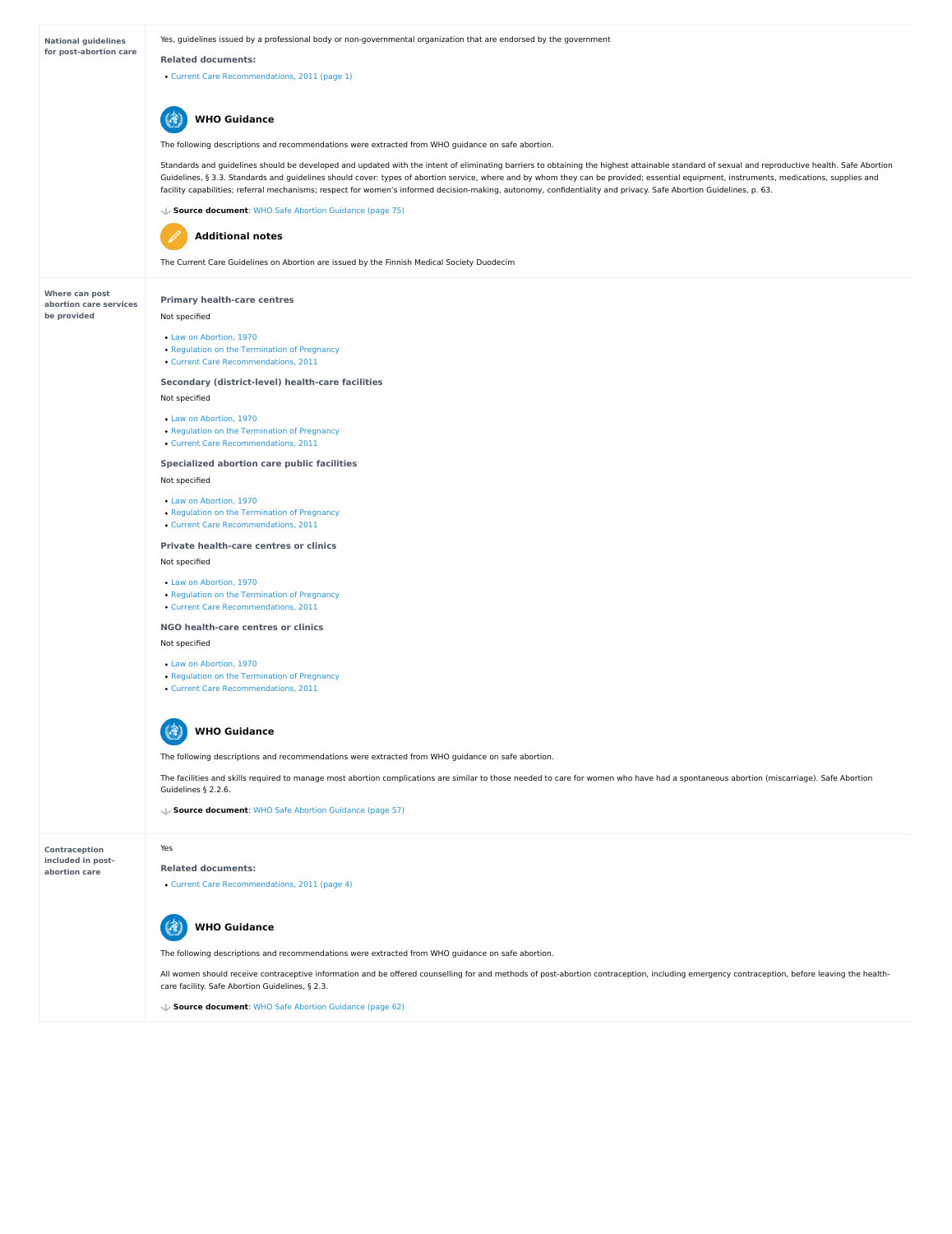**National guidelines for post-abortion care**

**Where can post abortion care services be provided**

**Contraception included in post abortion care**

Yes, guidelines issued by a professional body or non-governmental organization that are endorsed by the government

#### **Related documents:**

Current Care [Recommendations,](https://abortion-policies.srhr.org/documents/countries/11-Finland-Current-Care-Recommendation-2013.pdf#page=1) 2011 (page 1)

The following descriptions and recommendations were extracted from WHO guidance on safe abortion.

Standards and guidelines should be developed and updated with the intent of eliminating barriers to obtaining the highest attainable standard of sexual and reproductive health. Safe Abortion Guidelines, § 3.3. Standards and guidelines should cover: types of abortion service, where and by whom they can be provided; essential equipment, instruments, medications, supplies and facility capabilities; referral mechanisms; respect for women's informed decision-making, autonomy, confidentiality and privacy. Safe Abortion Guidelines, p. 63.

- Regulation on the [Termination](https://abortion-policies.srhr.org/documents/countries/04-Finland-Regulation-on-Termination-of-Pregnancy-1970.pdf) of Pregnancy
- Current Care [Recommendations,](https://abortion-policies.srhr.org/documents/countries/11-Finland-Current-Care-Recommendation-2013.pdf) 2011



**Source document**: WHO Safe Abortion [Guidance](https://abortion-policies.srhr.org/documents/reference/WHO-Safe-Abortion-Guidance-2012.pdf#page=75) (page 75)



The Current Care Guidelines on Abortion are issued by the Finnish Medical Society Duodecim

The facilities and skills required to manage most abortion complications are similar to those needed to care for women who have had a spontaneous abortion (miscarriage). Safe Abortion Guidelines § 2.2.6.

(1 **WHO Guidance**

# **Additional notes**

# **Primary health-care centres**

## Not specified

### **Secondary (district-level) health-care facilities**

Not specified

## **Specialized abortion care public facilities**

Not specified

#### **Private health-care centres or clinics**

All women should receive contraceptive information and be offered counselling for and methods of post-abortion contraception, including emergency contraception, before leaving the healthcare facility. Safe Abortion Guidelines, § 2.3.

Not specified

## **NGO health-care centres or clinics**

Not specified

- Law on [Abortion,](https://abortion-policies.srhr.org/documents/countries/01-Finland-Law-on-Abortion-1970.pdf) 1970
- Regulation on the [Termination](https://abortion-policies.srhr.org/documents/countries/04-Finland-Regulation-on-Termination-of-Pregnancy-1970.pdf) of Pregnancy
- Current Care [Recommendations,](https://abortion-policies.srhr.org/documents/countries/11-Finland-Current-Care-Recommendation-2013.pdf) 2011

#### Law on [Abortion,](https://abortion-policies.srhr.org/documents/countries/01-Finland-Law-on-Abortion-1970.pdf) 1970

- Law on [Abortion,](https://abortion-policies.srhr.org/documents/countries/01-Finland-Law-on-Abortion-1970.pdf) 1970
- Regulation on the [Termination](https://abortion-policies.srhr.org/documents/countries/04-Finland-Regulation-on-Termination-of-Pregnancy-1970.pdf) of Pregnancy
- Current Care [Recommendations,](https://abortion-policies.srhr.org/documents/countries/11-Finland-Current-Care-Recommendation-2013.pdf) 2011

- Law on [Abortion,](https://abortion-policies.srhr.org/documents/countries/01-Finland-Law-on-Abortion-1970.pdf) 1970
- Regulation on the [Termination](https://abortion-policies.srhr.org/documents/countries/04-Finland-Regulation-on-Termination-of-Pregnancy-1970.pdf) of Pregnancy
- Current Care [Recommendations,](https://abortion-policies.srhr.org/documents/countries/11-Finland-Current-Care-Recommendation-2013.pdf) 2011

- Law on [Abortion,](https://abortion-policies.srhr.org/documents/countries/01-Finland-Law-on-Abortion-1970.pdf) 1970
- Regulation on the [Termination](https://abortion-policies.srhr.org/documents/countries/04-Finland-Regulation-on-Termination-of-Pregnancy-1970.pdf) of Pregnancy
- Current Care [Recommendations,](https://abortion-policies.srhr.org/documents/countries/11-Finland-Current-Care-Recommendation-2013.pdf) 2011

The following descriptions and recommendations were extracted from WHO guidance on safe abortion.

#### **Source document**: WHO Safe Abortion [Guidance](https://abortion-policies.srhr.org/documents/reference/WHO-Safe-Abortion-Guidance-2012.pdf#page=57) (page 57)

Yes

**Related documents:**

Current Care [Recommendations,](https://abortion-policies.srhr.org/documents/countries/11-Finland-Current-Care-Recommendation-2013.pdf#page=4) 2011 (page 4)

The following descriptions and recommendations were extracted from WHO guidance on safe abortion.



**Source document**: WHO Safe Abortion [Guidance](https://abortion-policies.srhr.org/documents/reference/WHO-Safe-Abortion-Guidance-2012.pdf#page=62) (page 62)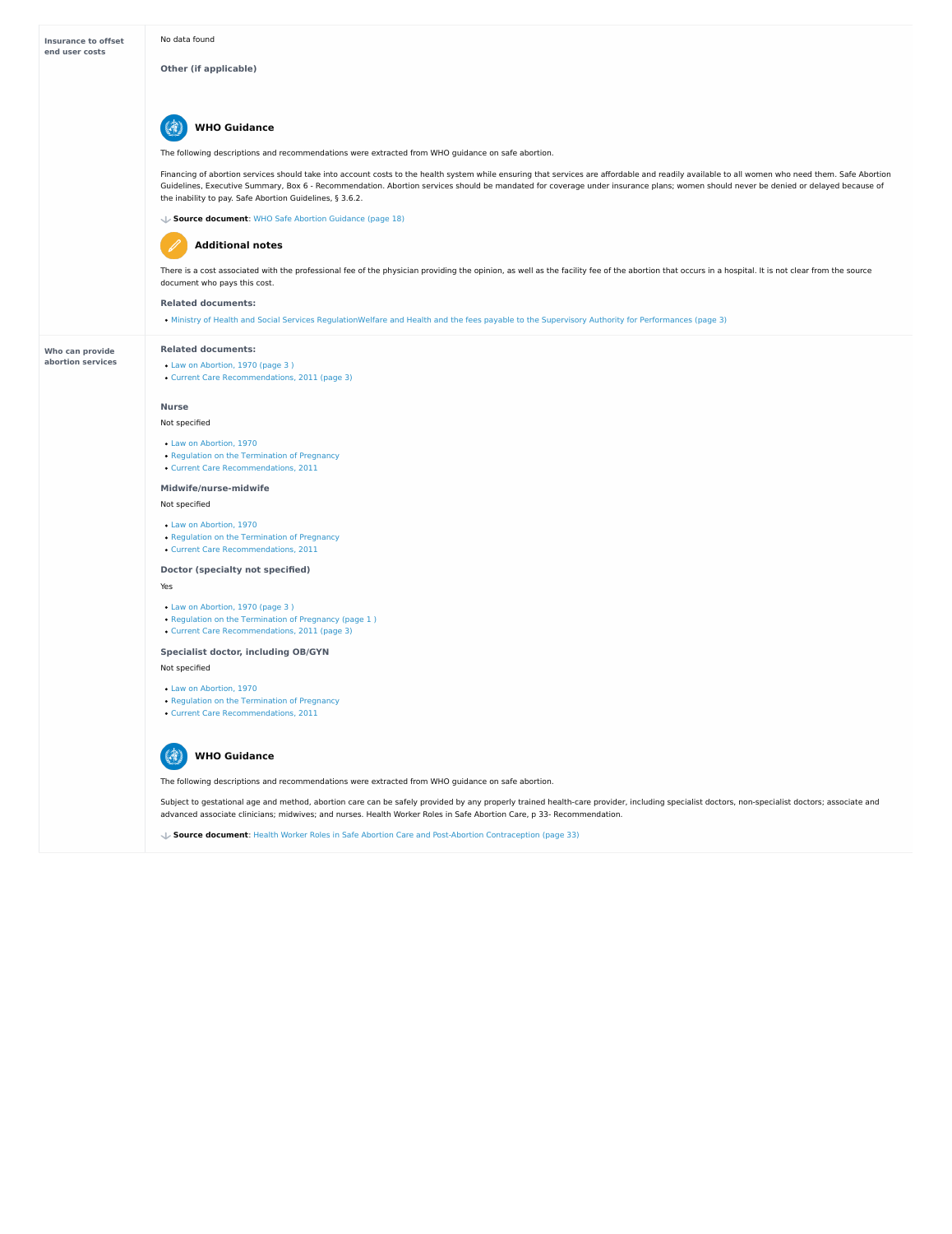#### **Who can provide abortion services**

**Other (if applicable)**

The following descriptions and recommendations were extracted from WHO guidance on safe abortion.

#### 47 **WHO Guidance**

Financing of abortion services should take into account costs to the health system while ensuring that services are affordable and readily available to all women who need them. Safe Abortion Guidelines, Executive Summary, Box 6 - Recommendation. Abortion services should be mandated for coverage under insurance plans; women should never be denied or delayed because of the inability to pay. Safe Abortion Guidelines, § 3.6.2.

There is a cost associated with the professional fee of the physician providing the opinion, as well as the facility fee of the abortion that occurs in a hospital. It is not clear from the source document who pays this cost.

**Source document**: WHO Safe Abortion [Guidance](https://abortion-policies.srhr.org/documents/reference/WHO-Safe-Abortion-Guidance-2012.pdf#page=18) (page 18)

#### **Related documents:**

# **Additional notes**

Ministry of Health and Social Services [RegulationWelfare](https://abortion-policies.srhr.org/documents/countries/10-Finland-Health-permits-and-fees-payable-to-the-Supervisory-Authority-for-performances-Ministry-of-Health-and-Social-Services-2012.pdf#page=3) and Health and the fees payable to the Supervisory Authority for Performances (page 3)

Subject to gestational age and method, abortion care can be safely provided by any properly trained health-care provider, including specialist doctors, non-specialist doctors; associate and advanced associate clinicians; midwives; and nurses. Health Worker Roles in Safe Abortion Care, p 33- Recommendation.

**WHO Guidance** 博

**Related documents:**

- Law on [Abortion,](https://abortion-policies.srhr.org/documents/countries/01-FINLAND-LAW-ON-ABORTION-1970.pdf#page=3%20%0A) 1970 (page 3 )
- Current Care [Recommendations,](https://abortion-policies.srhr.org/documents/countries/11-Finland-Current-Care-Recommendation-2013.pdf#page=3) 2011 (page 3)

#### **Nurse**

#### Not specified

#### **Midwife/nurse-midwife**

#### Not specified

#### **Doctor (specialty not specified)**

# Yes

# **Specialist doctor, including OB/GYN**

# Not specified

- Law on [Abortion,](https://abortion-policies.srhr.org/documents/countries/01-Finland-Law-on-Abortion-1970.pdf) 1970
- Regulation on the [Termination](https://abortion-policies.srhr.org/documents/countries/04-Finland-Regulation-on-Termination-of-Pregnancy-1970.pdf) of Pregnancy
- Current Care [Recommendations,](https://abortion-policies.srhr.org/documents/countries/11-Finland-Current-Care-Recommendation-2013.pdf) 2011

- Law on [Abortion,](https://abortion-policies.srhr.org/documents/countries/01-Finland-Law-on-Abortion-1970.pdf) 1970
- Regulation on the [Termination](https://abortion-policies.srhr.org/documents/countries/04-Finland-Regulation-on-Termination-of-Pregnancy-1970.pdf) of Pregnancy
- Current Care [Recommendations,](https://abortion-policies.srhr.org/documents/countries/11-Finland-Current-Care-Recommendation-2013.pdf) 2011

- Law on [Abortion,](https://abortion-policies.srhr.org/documents/countries/01-Finland-Law-on-Abortion-1970.pdf#page=3%0A) 1970 (page 3 )
- Regulation on the [Termination](https://abortion-policies.srhr.org/documents/countries/04-Finland-Regulation-on-Termination-of-Pregnancy-1970.pdf#page=1%0A) of Pregnancy (page 1)
- Current Care [Recommendations,](https://abortion-policies.srhr.org/documents/countries/11-Finland-Current-Care-Recommendation-2013.pdf#page=3) 2011 (page 3)

- Law on [Abortion,](https://abortion-policies.srhr.org/documents/countries/01-Finland-Law-on-Abortion-1970.pdf) 1970
- Regulation on the [Termination](https://abortion-policies.srhr.org/documents/countries/04-Finland-Regulation-on-Termination-of-Pregnancy-1970.pdf) of Pregnancy
- Current Care [Recommendations,](https://abortion-policies.srhr.org/documents/countries/11-Finland-Current-Care-Recommendation-2013.pdf) 2011

The following descriptions and recommendations were extracted from WHO guidance on safe abortion.

**Source document**: Health Worker Roles in Safe Abortion Care and Post-Abortion [Contraception](https://abortion-policies.srhr.org/documents/reference/Health-Worker-Roles-in-Safe-Abortion-Care-2015.pdf#page=33) (page 33)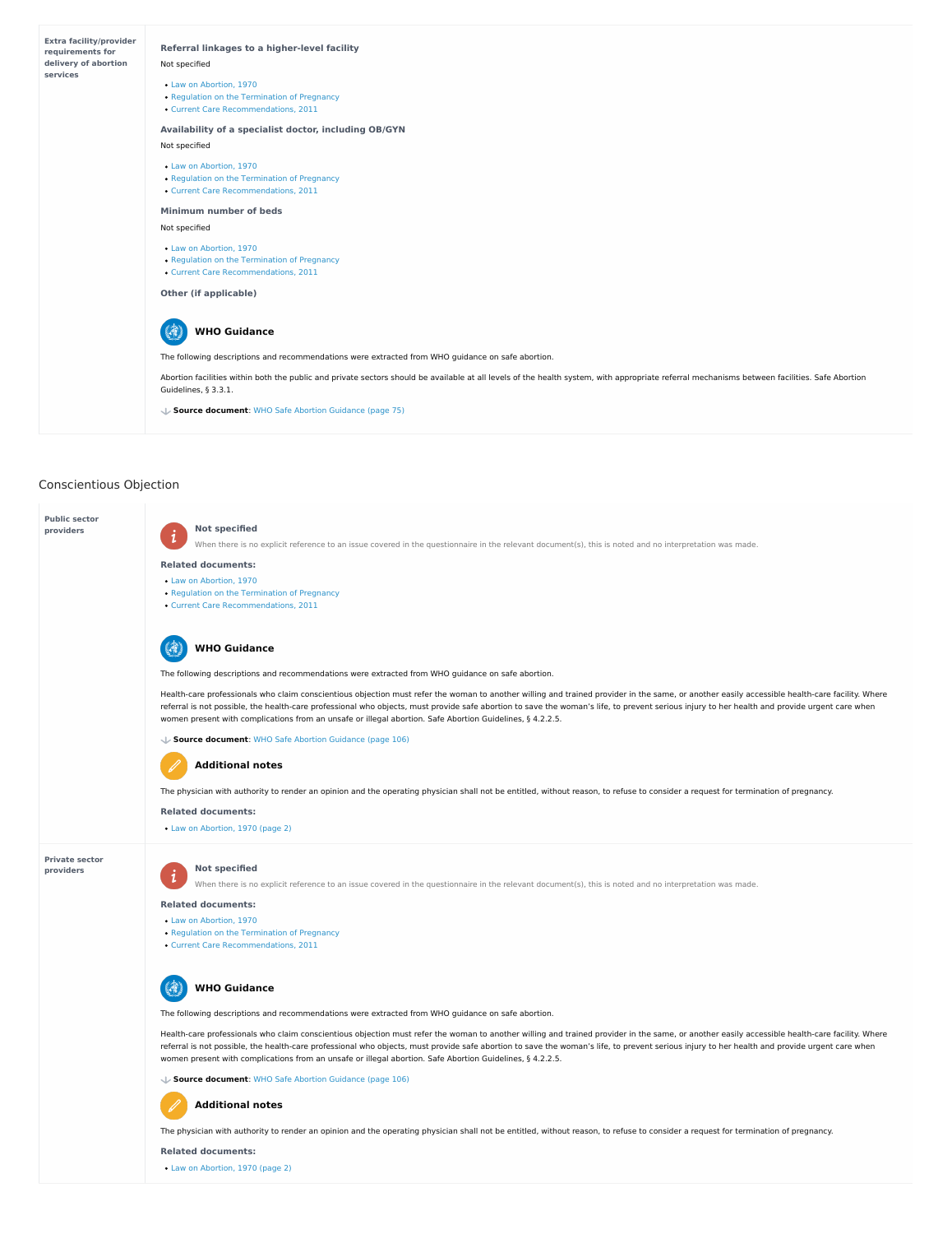# Conscientious Objection



Health-care professionals who claim conscientious objection must refer the woman to another willing and trained provider in the same, or another easily accessible health-care facility. Where referral is not possible, the health-care professional who objects, must provide safe abortion to save the woman's life, to prevent serious injury to her health and provide urgent care when women present with complications from an unsafe or illegal abortion. Safe Abortion Guidelines, § 4.2.2.5.

## 5 **WHO Guidance**

**Public sector providers**

# **Private sector providers**

#### **Not specified**

 $\mathbf{i}$ When there is no explicit reference to an issue covered in the questionnaire in the relevant document(s), this is noted and no interpretation was made.

#### **Not specified**  $\mathbf{i}$

When there is no explicit reference to an issue covered in the questionnaire in the relevant document(s), this is noted and no interpretation was made.

#### **Related documents:**

- Law on [Abortion,](https://abortion-policies.srhr.org/documents/countries/01-Finland-Law-on-Abortion-1970.pdf) 1970
- Regulation on the [Termination](https://abortion-policies.srhr.org/documents/countries/04-Finland-Regulation-on-Termination-of-Pregnancy-1970.pdf) of Pregnancy
- Current Care [Recommendations,](https://abortion-policies.srhr.org/documents/countries/11-Finland-Current-Care-Recommendation-2013.pdf) 2011

The following descriptions and recommendations were extracted from WHO guidance on safe abortion.

#### 47 **WHO Guidance**

#### **Source document**: WHO Safe Abortion [Guidance](https://abortion-policies.srhr.org/documents/reference/WHO-Safe-Abortion-Guidance-2012.pdf#page=106) (page 106)

**Related documents:**

# **Additional notes**

The physician with authority to render an opinion and the operating physician shall not be entitled, without reason, to refuse to consider a request for termination of pregnancy.

Law on [Abortion,](https://abortion-policies.srhr.org/documents/countries/01-Finland-Law-on-Abortion-1970.pdf#page=2) 1970 (page 2)

#### **Related documents:**

- Law on [Abortion,](https://abortion-policies.srhr.org/documents/countries/01-Finland-Law-on-Abortion-1970.pdf) 1970
- Regulation on the [Termination](https://abortion-policies.srhr.org/documents/countries/04-Finland-Regulation-on-Termination-of-Pregnancy-1970.pdf) of Pregnancy
- Current Care [Recommendations,](https://abortion-policies.srhr.org/documents/countries/11-Finland-Current-Care-Recommendation-2013.pdf) 2011

The following descriptions and recommendations were extracted from WHO guidance on safe abortion.

Health-care professionals who claim conscientious objection must refer the woman to another willing and trained provider in the same, or another easily accessible health-care facility. Where referral is not possible, the health-care professional who objects, must provide safe abortion to save the woman's life, to prevent serious injury to her health and provide urgent care when women present with complications from an unsafe or illegal abortion. Safe Abortion Guidelines, § 4.2.2.5.

**Source document**: WHO Safe Abortion [Guidance](https://abortion-policies.srhr.org/documents/reference/WHO-Safe-Abortion-Guidance-2012.pdf#page=106) (page 106)

The physician with authority to render an opinion and the operating physician shall not be entitled, without reason, to refuse to consider a request for termination of pregnancy.

## **Related documents:**

# **Additional notes**

Law on [Abortion,](https://abortion-policies.srhr.org/documents/countries/01-Finland-Law-on-Abortion-1970.pdf#page=2) 1970 (page 2)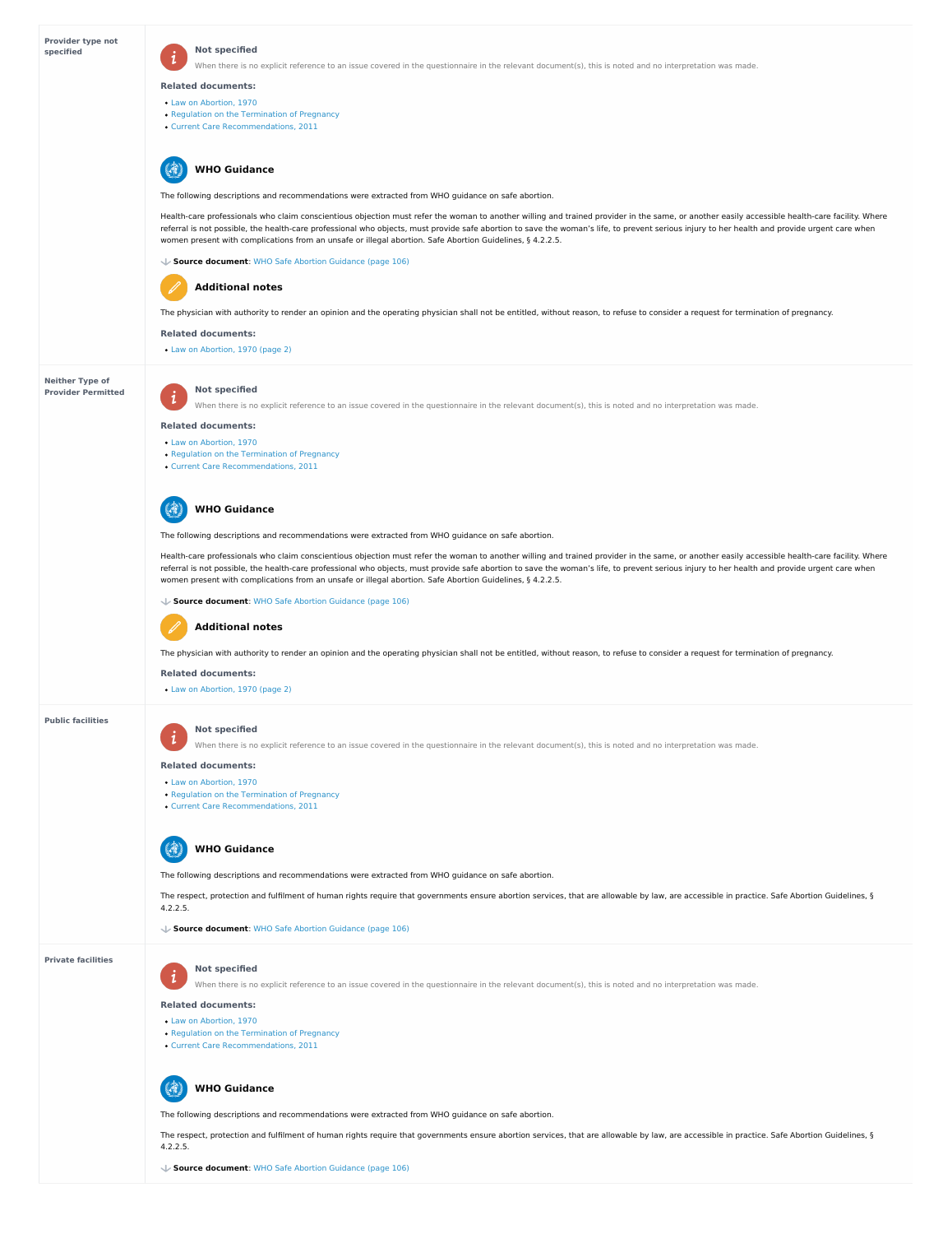## **Provider type not specified**

# **Neither Type of Provider Permitted**

#### **Not specified**  $\boldsymbol{i}$

When there is no explicit reference to an issue covered in the questionnaire in the relevant document(s), this is noted and no interpretation was made.

#### **Public facilities**

#### **Private facilities**

Health-care professionals who claim conscientious objection must refer the woman to another willing and trained provider in the same, or another easily accessible health-care facility. Where referral is not possible, the health-care professional who objects, must provide safe abortion to save the woman's life, to prevent serious injury to her health and provide urgent care when women present with complications from an unsafe or illegal abortion. Safe Abortion Guidelines, § 4.2.2.5.

#### **Related documents:**

- Law on [Abortion,](https://abortion-policies.srhr.org/documents/countries/01-Finland-Law-on-Abortion-1970.pdf) 1970
- Regulation on the [Termination](https://abortion-policies.srhr.org/documents/countries/04-Finland-Regulation-on-Termination-of-Pregnancy-1970.pdf) of Pregnancy
- Current Care [Recommendations,](https://abortion-policies.srhr.org/documents/countries/11-Finland-Current-Care-Recommendation-2013.pdf) 2011

The following descriptions and recommendations were extracted from WHO guidance on safe abortion.

#### (骨 **WHO Guidance**

Health-care professionals who claim conscientious objection must refer the woman to another willing and trained provider in the same, or another easily accessible health-care facility. Where referral is not possible, the health-care professional who objects, must provide safe abortion to save the woman's life, to prevent serious injury to her health and provide urgent care when women present with complications from an unsafe or illegal abortion. Safe Abortion Guidelines, § 4.2.2.5.

**Source document**: WHO Safe Abortion [Guidance](https://abortion-policies.srhr.org/documents/reference/WHO-Safe-Abortion-Guidance-2012.pdf#page=106) (page 106)

The physician with authority to render an opinion and the operating physician shall not be entitled, without reason, to refuse to consider a request for termination of pregnancy.

#### **Related documents:**

# **Additional notes**

Law on [Abortion,](https://abortion-policies.srhr.org/documents/countries/01-Finland-Law-on-Abortion-1970.pdf#page=2) 1970 (page 2)

**Not specified**

When there is no explicit reference to an issue covered in the questionnaire in the relevant document(s), this is noted and no interpretation was made.

#### **Related documents:**

 $\mathbf{i}$ 

- Law on [Abortion,](https://abortion-policies.srhr.org/documents/countries/01-Finland-Law-on-Abortion-1970.pdf) 1970
- Regulation on the [Termination](https://abortion-policies.srhr.org/documents/countries/04-Finland-Regulation-on-Termination-of-Pregnancy-1970.pdf) of Pregnancy
- Current Care [Recommendations,](https://abortion-policies.srhr.org/documents/countries/11-Finland-Current-Care-Recommendation-2013.pdf) 2011

The respect, protection and fulfilment of human rights require that governments ensure abortion services, that are allowable by law, are accessible in practice. Safe Abortion Guidelines, § 4.2.2.5.

#### **Not specified**  $\dot{1}$

When there is no explicit reference to an issue covered in the questionnaire in the relevant document(s), this is noted and no interpretation was made.

The following descriptions and recommendations were extracted from WHO guidance on safe abortion.

The respect, protection and fulfilment of human rights require that governments ensure abortion services, that are allowable by law, are accessible in practice. Safe Abortion Guidelines, § 4.2.2.5.

# **WHO Guidance**

#### **Source document**: WHO Safe Abortion [Guidance](https://abortion-policies.srhr.org/documents/reference/WHO-Safe-Abortion-Guidance-2012.pdf#page=106) (page 106)

The physician with authority to render an opinion and the operating physician shall not be entitled, without reason, to refuse to consider a request for termination of pregnancy.

#### **Related documents:**

# **Additional notes**

Law on [Abortion,](https://abortion-policies.srhr.org/documents/countries/01-Finland-Law-on-Abortion-1970.pdf#page=2) 1970 (page 2)

# **Not specified**

When there is no explicit reference to an issue covered in the questionnaire in the relevant document(s), this is noted and no interpretation was made.

#### **Related documents:**

 $\mathbf{1}$ 

- Law on [Abortion,](https://abortion-policies.srhr.org/documents/countries/01-Finland-Law-on-Abortion-1970.pdf) 1970
- 
- Regulation on the [Termination](https://abortion-policies.srhr.org/documents/countries/04-Finland-Regulation-on-Termination-of-Pregnancy-1970.pdf) of Pregnancy
- Current Care [Recommendations,](https://abortion-policies.srhr.org/documents/countries/11-Finland-Current-Care-Recommendation-2013.pdf) 2011

The following descriptions and recommendations were extracted from WHO guidance on safe abortion.



**Source document**: WHO Safe Abortion [Guidance](https://abortion-policies.srhr.org/documents/reference/WHO-Safe-Abortion-Guidance-2012.pdf#page=106) (page 106)

#### **Related documents:**

- Law on [Abortion,](https://abortion-policies.srhr.org/documents/countries/01-Finland-Law-on-Abortion-1970.pdf) 1970
- Regulation on the [Termination](https://abortion-policies.srhr.org/documents/countries/04-Finland-Regulation-on-Termination-of-Pregnancy-1970.pdf) of Pregnancy
- Current Care [Recommendations,](https://abortion-policies.srhr.org/documents/countries/11-Finland-Current-Care-Recommendation-2013.pdf) 2011



The following descriptions and recommendations were extracted from WHO guidance on safe abortion.

# **WHO Guidance**

**Source document**: WHO Safe Abortion [Guidance](https://abortion-policies.srhr.org/documents/reference/WHO-Safe-Abortion-Guidance-2012.pdf#page=106) (page 106)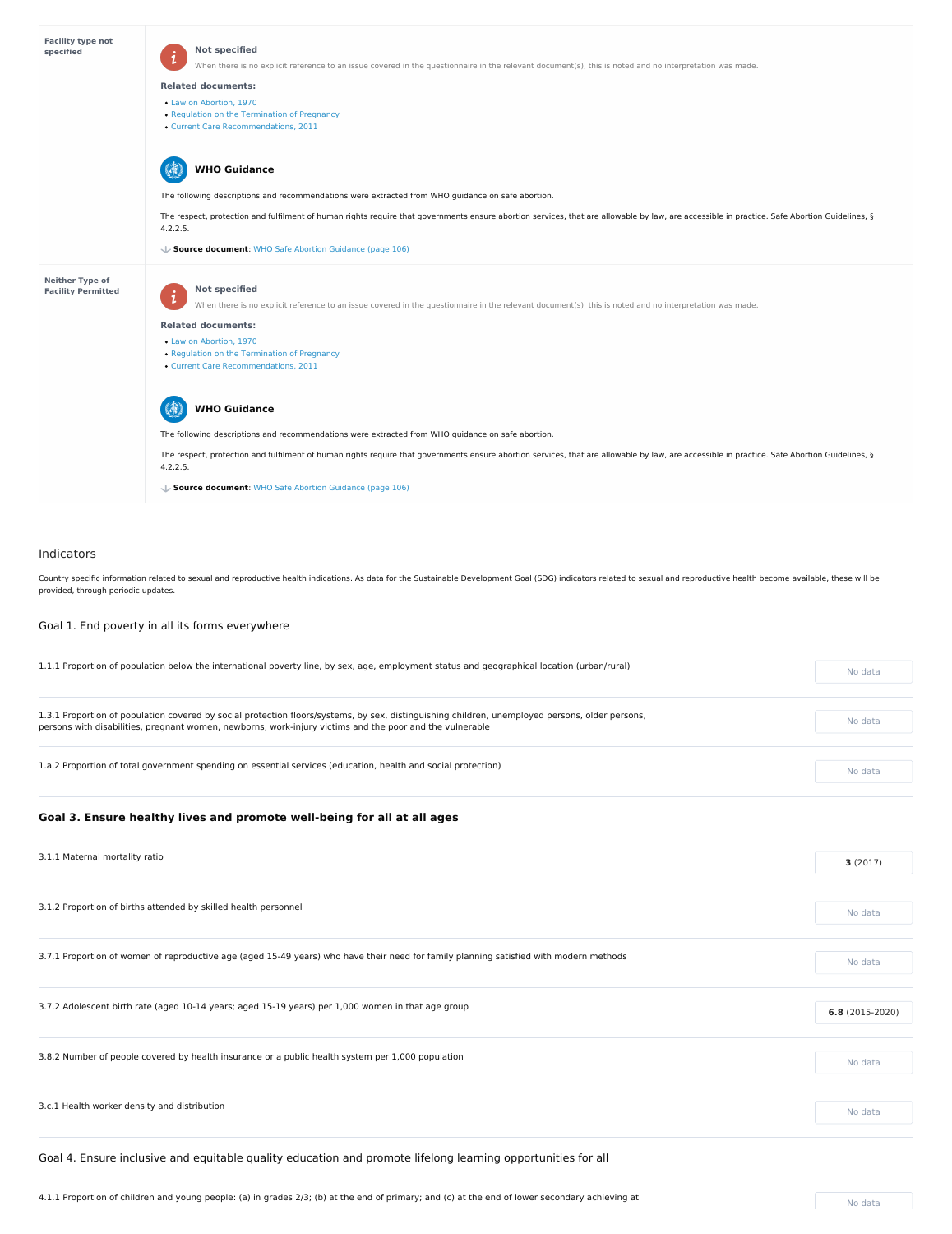# Indicators

Country specific information related to sexual and reproductive health indications. As data for the Sustainable Development Goal (SDG) indicators related to sexual and reproductive health become available, these will be provided, through periodic updates.

Goal 1. End poverty in all its forms everywhere

1.1.1 Proportion of population below the international poverty line, by sex, age, employment status and geographical location (urban/rural) No data

| <b>Facility type not</b><br>specified               | <b>Not specified</b><br>When there is no explicit reference to an issue covered in the questionnaire in the relevant document(s), this is noted and no interpretation was made.<br><b>Related documents:</b><br>• Law on Abortion, 1970<br>• Regulation on the Termination of Pregnancy<br>• Current Care Recommendations, 2011                                                                                                                                                                                                                                                                                                                                                                                                     |
|-----------------------------------------------------|-------------------------------------------------------------------------------------------------------------------------------------------------------------------------------------------------------------------------------------------------------------------------------------------------------------------------------------------------------------------------------------------------------------------------------------------------------------------------------------------------------------------------------------------------------------------------------------------------------------------------------------------------------------------------------------------------------------------------------------|
|                                                     | <b>WHO Guidance</b><br>The following descriptions and recommendations were extracted from WHO guidance on safe abortion.<br>The respect, protection and fulfilment of human rights require that governments ensure abortion services, that are allowable by law, are accessible in practice. Safe Abortion Guidelines, §<br>4.2.2.5.<br>Source document: WHO Safe Abortion Guidance (page 106)                                                                                                                                                                                                                                                                                                                                      |
| <b>Neither Type of</b><br><b>Facility Permitted</b> | <b>Not specified</b><br>When there is no explicit reference to an issue covered in the questionnaire in the relevant document(s), this is noted and no interpretation was made.<br><b>Related documents:</b><br>• Law on Abortion, 1970<br>• Regulation on the Termination of Pregnancy<br>• Current Care Recommendations, 2011<br><b>WHO Guidance</b><br>The following descriptions and recommendations were extracted from WHO guidance on safe abortion.<br>The respect, protection and fulfilment of human rights require that governments ensure abortion services, that are allowable by law, are accessible in practice. Safe Abortion Guidelines, §<br>4.2.2.5.<br>↓ Source document: WHO Safe Abortion Guidance (page 106) |

| 3.1.1 Maternal mortality ratio                                                                                                         | 3(2017)          |
|----------------------------------------------------------------------------------------------------------------------------------------|------------------|
| 3.1.2 Proportion of births attended by skilled health personnel                                                                        | No data          |
| 3.7.1 Proportion of women of reproductive age (aged 15-49 years) who have their need for family planning satisfied with modern methods | No data          |
| 3.7.2 Adolescent birth rate (aged 10-14 years; aged 15-19 years) per 1,000 women in that age group                                     | $6.8(2015-2020)$ |
| 3.8.2 Number of people covered by health insurance or a public health system per 1,000 population                                      |                  |
| 3.c.1 Health worker density and distribution                                                                                           | No data          |

1.3.1 Proportion of population covered by social protection floors/systems, by sex, distinguishing children, unemployed persons, older persons, persons with disabilities, pregnant women, newborns, work-injury victims and the poor and the vulnerable

1.a.2 Proportion of total government spending on essential services (education, health and social protection) No data

No data

# **Goal 3. Ensure healthy lives and promote well-being for all at all ages**

Goal 4. Ensure inclusive and equitable quality education and promote lifelong learning opportunities for all

4.1.1 Proportion of children and young people: (a) in grades 2/3; (b) at the end of primary; and (c) at the end of lower secondary achieving at No data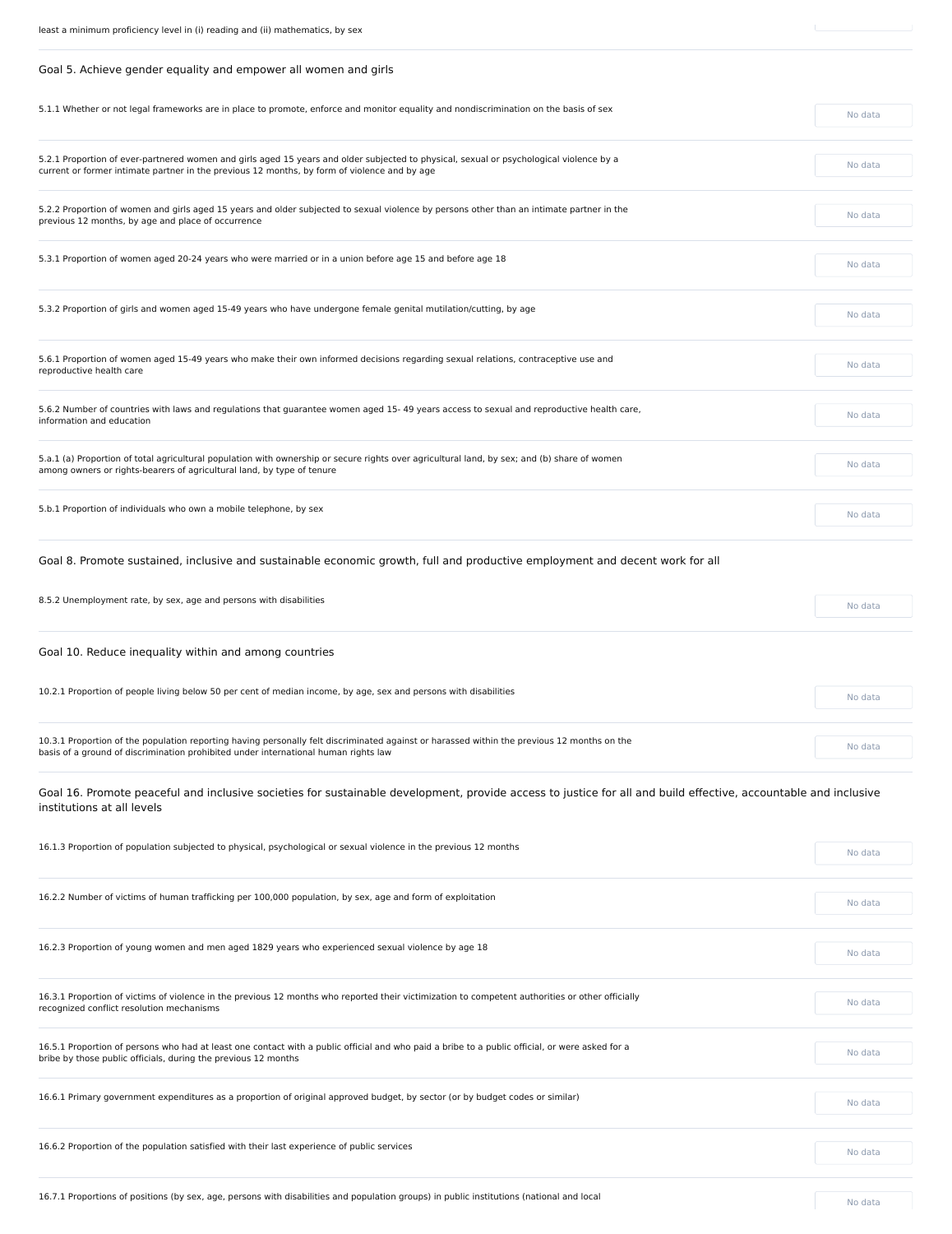| Goal 5. Achieve gender equality and empower all women and girls                                                                                                                                                                         |         |
|-----------------------------------------------------------------------------------------------------------------------------------------------------------------------------------------------------------------------------------------|---------|
| 5.1.1 Whether or not legal frameworks are in place to promote, enforce and monitor equality and nondiscrimination on the basis of sex                                                                                                   | No data |
| 5.2.1 Proportion of ever-partnered women and girls aged 15 years and older subjected to physical, sexual or psychological violence by a<br>current or former intimate partner in the previous 12 months, by form of violence and by age | No data |
| 5.2.2 Proportion of women and girls aged 15 years and older subjected to sexual violence by persons other than an intimate partner in the<br>previous 12 months, by age and place of occurrence                                         | No data |
| 5.3.1 Proportion of women aged 20-24 years who were married or in a union before age 15 and before age 18                                                                                                                               | No data |
| 5.3.2 Proportion of girls and women aged 15-49 years who have undergone female genital mutilation/cutting, by age                                                                                                                       | No data |
| 5.6.1 Proportion of women aged 15-49 years who make their own informed decisions regarding sexual relations, contraceptive use and<br>reproductive health care                                                                          | No data |
| 5.6.2 Number of countries with laws and regulations that guarantee women aged 15-49 years access to sexual and reproductive health care,<br>information and education                                                                   | No data |
| 5.a.1 (a) Proportion of total agricultural population with ownership or secure rights over agricultural land, by sex; and (b) share of women<br>among owners or rights-bearers of agricultural land, by type of tenure                  | No data |
| 5.b.1 Proportion of individuals who own a mobile telephone, by sex                                                                                                                                                                      | No data |
| Goal 8. Promote sustained, inclusive and sustainable economic growth, full and productive employment and decent work for all                                                                                                            |         |
| 8.5.2 Unemployment rate, by sex, age and persons with disabilities                                                                                                                                                                      | No data |
| Goal 10. Reduce inequality within and among countries                                                                                                                                                                                   |         |
| 10.2.1 Proportion of people living below 50 per cent of median income, by age, sex and persons with disabilities                                                                                                                        | No data |
|                                                                                                                                                                                                                                         |         |

10.3.1 Proportion of the population reporting having personally felt discriminated against or harassed within the previous 12 months on the basis of a ground of discrimination prohibited under international human rights law

No data

Goal 16. Promote peaceful and inclusive societies for sustainable development, provide access to justice for all and build effective, accountable and inclusive institutions at all levels

| 16.1.3 Proportion of population subjected to physical, psychological or sexual violence in the previous 12 months                                                                                                 |         |
|-------------------------------------------------------------------------------------------------------------------------------------------------------------------------------------------------------------------|---------|
| 16.2.2 Number of victims of human trafficking per 100,000 population, by sex, age and form of exploitation                                                                                                        | No data |
| 16.2.3 Proportion of young women and men aged 1829 years who experienced sexual violence by age 18                                                                                                                |         |
|                                                                                                                                                                                                                   | No data |
| 16.3.1 Proportion of victims of violence in the previous 12 months who reported their victimization to competent authorities or other officially<br>recognized conflict resolution mechanisms                     | No data |
| 16.5.1 Proportion of persons who had at least one contact with a public official and who paid a bribe to a public official, or were asked for a<br>bribe by those public officials, during the previous 12 months | No data |
| 16.6.1 Primary government expenditures as a proportion of original approved budget, by sector (or by budget codes or similar)                                                                                     | No data |
| 16.6.2 Proportion of the population satisfied with their last experience of public services                                                                                                                       | No data |

16.7.1 Proportions of positions (by sex, age, persons with disabilities and population groups) in public institutions (national and local Noted Noted No data